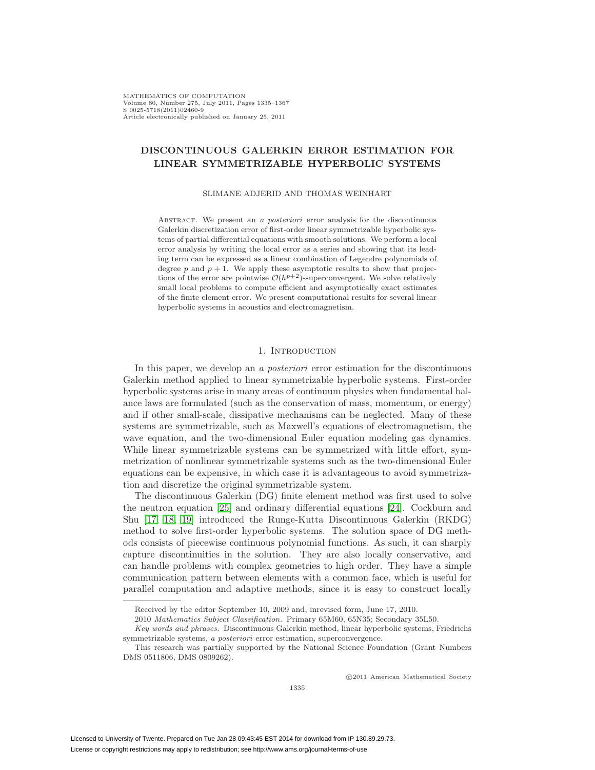MATHEMATICS OF COMPUTATION Volume 80, Number 275, July 2011, Pages 1335–1367 S 0025-5718(2011)02460-9 Article electronically published on January 25, 2011

# **DISCONTINUOUS GALERKIN ERROR ESTIMATION FOR LINEAR SYMMETRIZABLE HYPERBOLIC SYSTEMS**

SLIMANE ADJERID AND THOMAS WEINHART

ABSTRACT. We present an a *posteriori* error analysis for the discontinuous Galerkin discretization error of first-order linear symmetrizable hyperbolic systems of partial differential equations with smooth solutions. We perform a local error analysis by writing the local error as a series and showing that its leading term can be expressed as a linear combination of Legendre polynomials of degree p and  $p + 1$ . We apply these asymptotic results to show that projections of the error are pointwise  $\mathcal{O}(h^{p+2})$ -superconvergent. We solve relatively small local problems to compute efficient and asymptotically exact estimates of the finite element error. We present computational results for several linear hyperbolic systems in acoustics and electromagnetism.

## 1. INTRODUCTION

In this paper, we develop an a *posteriori* error estimation for the discontinuous Galerkin method applied to linear symmetrizable hyperbolic systems. First-order hyperbolic systems arise in many areas of continuum physics when fundamental balance laws are formulated (such as the conservation of mass, momentum, or energy) and if other small-scale, dissipative mechanisms can be neglected. Many of these systems are symmetrizable, such as Maxwell's equations of electromagnetism, the wave equation, and the two-dimensional Euler equation modeling gas dynamics. While linear symmetrizable systems can be symmetrized with little effort, symmetrization of nonlinear symmetrizable systems such as the two-dimensional Euler equations can be expensive, in which case it is advantageous to avoid symmetrization and discretize the original symmetrizable system.

The discontinuous Galerkin (DG) finite element method was first used to solve the neutron equation [\[25\]](#page-32-0) and ordinary differential equations [\[24\]](#page-32-1). Cockburn and Shu [\[17,](#page-31-0) [18,](#page-31-1) [19\]](#page-31-2) introduced the Runge-Kutta Discontinuous Galerkin (RKDG) method to solve first-order hyperbolic systems. The solution space of DG methods consists of piecewise continuous polynomial functions. As such, it can sharply capture discontinuities in the solution. They are also locally conservative, and can handle problems with complex geometries to high order. They have a simple communication pattern between elements with a common face, which is useful for parallel computation and adaptive methods, since it is easy to construct locally

-c 2011 American Mathematical Society

Received by the editor September 10, 2009 and, inrevised form, June 17, 2010.

<sup>2010</sup> Mathematics Subject Classification. Primary 65M60, 65N35; Secondary 35L50.

Key words and phrases. Discontinuous Galerkin method, linear hyperbolic systems, Friedrichs symmetrizable systems, a posteriori error estimation, superconvergence.

This research was partially supported by the National Science Foundation (Grant Numbers DMS 0511806, DMS 0809262).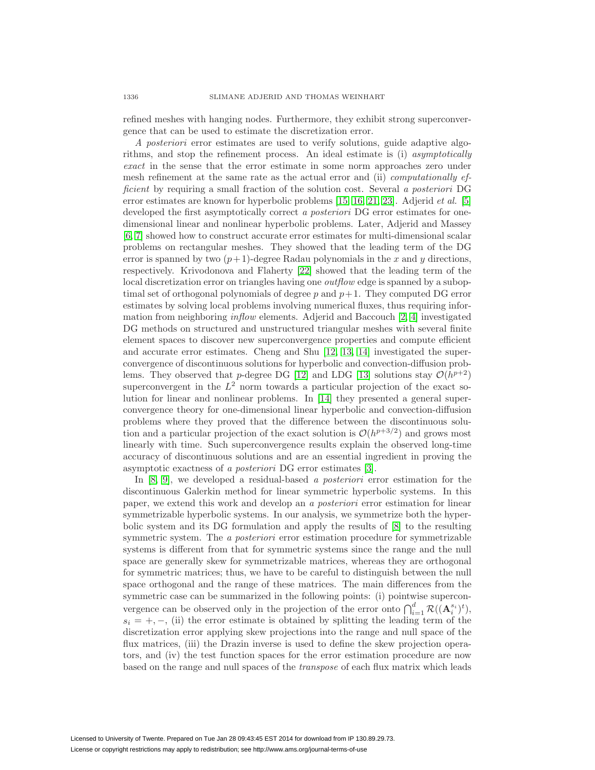refined meshes with hanging nodes. Furthermore, they exhibit strong superconvergence that can be used to estimate the discretization error.

A posteriori error estimates are used to verify solutions, guide adaptive algorithms, and stop the refinement process. An ideal estimate is (i) asymptotically exact in the sense that the error estimate in some norm approaches zero under mesh refinement at the same rate as the actual error and (ii) computationally efficient by requiring a small fraction of the solution cost. Several a posteriori DG error estimates are known for hyperbolic problems [\[15,](#page-31-3) [16,](#page-31-4) [21,](#page-32-2) [23\]](#page-32-3). Adjerid *et al.* [\[5\]](#page-31-5) developed the first asymptotically correct a *posteriori* DG error estimates for onedimensional linear and nonlinear hyperbolic problems. Later, Adjerid and Massey [\[6,](#page-31-6) [7\]](#page-31-7) showed how to construct accurate error estimates for multi-dimensional scalar problems on rectangular meshes. They showed that the leading term of the DG error is spanned by two  $(p+1)$ -degree Radau polynomials in the x and y directions, respectively. Krivodonova and Flaherty [\[22\]](#page-32-4) showed that the leading term of the local discretization error on triangles having one *outflow* edge is spanned by a suboptimal set of orthogonal polynomials of degree  $p$  and  $p+1$ . They computed DG error estimates by solving local problems involving numerical fluxes, thus requiring information from neighboring inflow elements. Adjerid and Baccouch [\[2,](#page-31-8) [4\]](#page-31-9) investigated DG methods on structured and unstructured triangular meshes with several finite element spaces to discover new superconvergence properties and compute efficient and accurate error estimates. Cheng and Shu [\[12,](#page-31-10) [13,](#page-31-11) [14\]](#page-31-12) investigated the superconvergence of discontinuous solutions for hyperbolic and convection-diffusion prob-lems. They observed that p-degree DG [\[12\]](#page-31-10) and LDG [\[13\]](#page-31-11) solutions stay  $\mathcal{O}(h^{p+2})$ superconvergent in the  $L^2$  norm towards a particular projection of the exact solution for linear and nonlinear problems. In [\[14\]](#page-31-12) they presented a general superconvergence theory for one-dimensional linear hyperbolic and convection-diffusion problems where they proved that the difference between the discontinuous solution and a particular projection of the exact solution is  $\mathcal{O}(h^{p+3/2})$  and grows most linearly with time. Such superconvergence results explain the observed long-time accuracy of discontinuous solutions and are an essential ingredient in proving the asymptotic exactness of a posteriori DG error estimates [\[3\]](#page-31-13).

In [\[8,](#page-31-14) [9\]](#page-31-15), we developed a residual-based a posteriori error estimation for the discontinuous Galerkin method for linear symmetric hyperbolic systems. In this paper, we extend this work and develop an a posteriori error estimation for linear symmetrizable hyperbolic systems. In our analysis, we symmetrize both the hyperbolic system and its DG formulation and apply the results of [\[8\]](#page-31-14) to the resulting symmetric system. The *a posteriori* error estimation procedure for symmetrizable systems is different from that for symmetric systems since the range and the null space are generally skew for symmetrizable matrices, whereas they are orthogonal for symmetric matrices; thus, we have to be careful to distinguish between the null space orthogonal and the range of these matrices. The main differences from the symmetric case can be summarized in the following points: (i) pointwise superconvergence can be observed only in the projection of the error onto  $\bigcap_{i=1}^d \mathcal{R}((\mathbf{A}_i^{s_i})^t),$  $s_i = +, -,$  (ii) the error estimate is obtained by splitting the leading term of the discretization error applying skew projections into the range and null space of the flux matrices, (iii) the Drazin inverse is used to define the skew projection operators, and (iv) the test function spaces for the error estimation procedure are now based on the range and null spaces of the transpose of each flux matrix which leads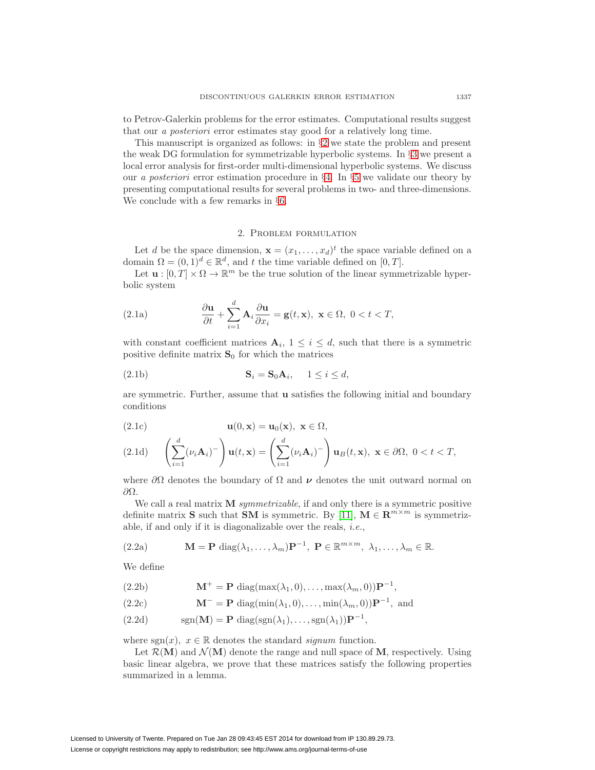to Petrov-Galerkin problems for the error estimates. Computational results suggest that our a posteriori error estimates stay good for a relatively long time.

This manuscript is organized as follows: in §[2](#page-2-0) we state the problem and present the weak DG formulation for symmetrizable hyperbolic systems. In §[3](#page-5-0) we present a local error analysis for first-order multi-dimensional hyperbolic systems. We discuss our a posteriori error estimation procedure in §[4.](#page-10-0) In §[5](#page-16-0) we validate our theory by presenting computational results for several problems in two- and three-dimensions. We conclude with a few remarks in §[6.](#page-30-0)

#### 2. Problem formulation

<span id="page-2-0"></span>Let d be the space dimension,  $\mathbf{x} = (x_1, \ldots, x_d)^t$  the space variable defined on a domain  $\Omega = (0, 1)^d \in \mathbb{R}^d$ , and t the time variable defined on  $[0, T]$ .

<span id="page-2-3"></span>Let  $\mathbf{u} : [0, T] \times \Omega \to \mathbb{R}^m$  be the true solution of the linear symmetrizable hyperbolic system

<span id="page-2-2"></span>(2.1a) 
$$
\frac{\partial \mathbf{u}}{\partial t} + \sum_{i=1}^{d} \mathbf{A}_i \frac{\partial \mathbf{u}}{\partial x_i} = \mathbf{g}(t, \mathbf{x}), \ \mathbf{x} \in \Omega, \ 0 < t < T,
$$

with constant coefficient matrices  $A_i$ ,  $1 \leq i \leq d$ , such that there is a symmetric positive definite matrix  $S_0$  for which the matrices

$$
\mathbf{S}_i = \mathbf{S}_0 \mathbf{A}_i, \quad 1 \le i \le d,
$$

are symmetric. Further, assume that **u** satisfies the following initial and boundary conditions

$$
\mathbf{u}(0,\mathbf{x}) = \mathbf{u}_0(\mathbf{x}), \ \mathbf{x} \in \Omega,
$$

$$
(2.1d) \qquad \left(\sum_{i=1}^d (\nu_i \mathbf{A}_i)^-\right) \mathbf{u}(t, \mathbf{x}) = \left(\sum_{i=1}^d (\nu_i \mathbf{A}_i)^-\right) \mathbf{u}_B(t, \mathbf{x}), \ \mathbf{x} \in \partial \Omega, \ 0 < t < T,
$$

where  $\partial\Omega$  denotes the boundary of  $\Omega$  and  $\nu$  denotes the unit outward normal on ∂Ω.

We call a real matrix **M** symmetrizable, if and only there is a symmetric positive definite matrix **S** such that **SM** is symmetric. By [\[11\]](#page-31-16),  $\mathbf{M} \in \mathbb{R}^{m \times m}$  is symmetrizable, if and only if it is diagonalizable over the reals, i.e.,

<span id="page-2-1"></span>(2.2a) 
$$
\mathbf{M} = \mathbf{P} \operatorname{diag}(\lambda_1, ..., \lambda_m) \mathbf{P}^{-1}, \ \mathbf{P} \in \mathbb{R}^{m \times m}, \ \lambda_1, ..., \lambda_m \in \mathbb{R}.
$$

We define

(2.2b)  $\mathbf{M}^+ = \mathbf{P} \operatorname{diag}(\max(\lambda_1, 0), \dots, \max(\lambda_m, 0)) \mathbf{P}^{-1}$ 

(2.2c) 
$$
\mathbf{M}^- = \mathbf{P} \operatorname{diag}(\min(\lambda_1, 0), \dots, \min(\lambda_m, 0)) \mathbf{P}^{-1}, \text{ and}
$$

(2.2d) 
$$
\operatorname{sgn}(\mathbf{M}) = \mathbf{P} \operatorname{diag}(\operatorname{sgn}(\lambda_1), \dots, \operatorname{sgn}(\lambda_1)) \mathbf{P}^{-1},
$$

where sgn(x),  $x \in \mathbb{R}$  denotes the standard *signum* function.

Let  $\mathcal{R}(\mathbf{M})$  and  $\mathcal{N}(\mathbf{M})$  denote the range and null space of **M**, respectively. Using basic linear algebra, we prove that these matrices satisfy the following properties summarized in a lemma.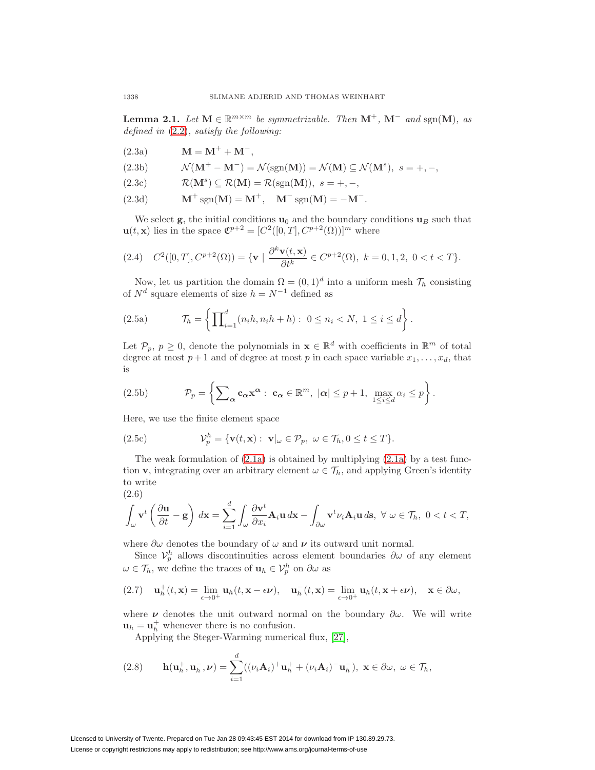**Lemma 2.1.** Let **M** ∈  $\mathbb{R}^{m \times m}$  be symmetrizable. Then **M**<sup>+</sup>, **M**<sup>−</sup> and sgn(**M**), as defined in [\(2.2\)](#page-2-1), satisfy the following:

 $M = M^+ + M^-$ 

<span id="page-3-0"></span>(2.3b) 
$$
\mathcal{N}(\mathbf{M}^+ - \mathbf{M}^-) = \mathcal{N}(\text{sgn}(\mathbf{M})) = \mathcal{N}(\mathbf{M}) \subseteq \mathcal{N}(\mathbf{M}^s), \ s = +, -,
$$

<span id="page-3-2"></span> $R(M^s) \subset R(M) = R(\text{sgn}(M)), s = +, -,$ 

<span id="page-3-1"></span>(2.3d) 
$$
M^+ sgn(M) = M^+, \quad M^- sgn(M) = -M^-.
$$

We select  $\mathbf{g}$ , the initial conditions  $\mathbf{u}_0$  and the boundary conditions  $\mathbf{u}_B$  such that  $\mathbf{u}(t, \mathbf{x})$  lies in the space  $\mathfrak{C}^{p+2} = [C^2([0, T], C^{p+2}(\Omega))]^m$  where

$$
(2.4) \quad C^2([0,T], C^{p+2}(\Omega)) = \{ \mathbf{v} \mid \frac{\partial^k \mathbf{v}(t, \mathbf{x})}{\partial t^k} \in C^{p+2}(\Omega), \ k = 0, 1, 2, \ 0 < t < T \}.
$$

Now, let us partition the domain  $\Omega = (0, 1)^d$  into a uniform mesh  $\mathcal{T}_h$  consisting of  $N^d$  square elements of size  $h = N^{-1}$  defined as

(2.5a) 
$$
\mathcal{T}_h = \left\{ \prod_{i=1}^d (n_i h, n_i h + h) : 0 \le n_i < N, 1 \le i \le d \right\}.
$$

Let  $\mathcal{P}_p, p \geq 0$ , denote the polynomials in  $\mathbf{x} \in \mathbb{R}^d$  with coefficients in  $\mathbb{R}^m$  of total degree at most  $p+1$  and of degree at most p in each space variable  $x_1, \ldots, x_d$ , that is

(2.5b) 
$$
\mathcal{P}_p = \left\{ \sum_{\alpha} \mathbf{c}_{\alpha} \mathbf{x}^{\alpha} : \ \mathbf{c}_{\alpha} \in \mathbb{R}^m, \ |\alpha| \leq p+1, \ \max_{1 \leq i \leq d} \alpha_i \leq p \right\}.
$$

Here, we use the finite element space

(2.5c) 
$$
\mathcal{V}_p^h = \{ \mathbf{v}(t, \mathbf{x}) : \ \mathbf{v}|_{\omega} \in \mathcal{P}_p, \ \omega \in \mathcal{T}_h, 0 \leq t \leq T \}.
$$

The weak formulation of  $(2.1a)$  is obtained by multiplying  $(2.1a)$  by a test function **v**, integrating over an arbitrary element  $\omega \in \mathcal{T}_h$ , and applying Green's identity to write (2.6)

$$
\int_{\omega} \mathbf{v}^t \left( \frac{\partial \mathbf{u}}{\partial t} - \mathbf{g} \right) d\mathbf{x} = \sum_{i=1}^d \int_{\omega} \frac{\partial \mathbf{v}^t}{\partial x_i} \mathbf{A}_i \mathbf{u} d\mathbf{x} - \int_{\partial \omega} \mathbf{v}^t \nu_i \mathbf{A}_i \mathbf{u} d\mathbf{s}, \ \forall \ \omega \in \mathcal{T}_h, \ 0 < t < T,
$$

where  $\partial \omega$  denotes the boundary of  $\omega$  and  $\nu$  its outward unit normal.

Since  $\mathcal{V}_p^h$  allows discontinuities across element boundaries  $\partial \omega$  of any element  $\omega \in \mathcal{T}_h$ , we define the traces of  $\mathbf{u}_h \in \mathcal{V}_p^h$  on  $\partial \omega$  as

$$
(2.7) \quad \mathbf{u}_h^+(t,\mathbf{x}) = \lim_{\epsilon \to 0^+} \mathbf{u}_h(t,\mathbf{x}-\epsilon \boldsymbol{\nu}), \quad \mathbf{u}_h^-(t,\mathbf{x}) = \lim_{\epsilon \to 0^+} \mathbf{u}_h(t,\mathbf{x}+\epsilon \boldsymbol{\nu}), \quad \mathbf{x} \in \partial \omega,
$$

where  $\nu$  denotes the unit outward normal on the boundary  $\partial \omega$ . We will write  $\mathbf{u}_h = \mathbf{u}_h^+$  whenever there is no confusion.

Applying the Steger-Warming numerical flux, [\[27\]](#page-32-5),

(2.8) 
$$
\mathbf{h}(\mathbf{u}_h^+, \mathbf{u}_h^-, \boldsymbol{\nu}) = \sum_{i=1}^d ((\nu_i \mathbf{A}_i)^+ \mathbf{u}_h^+ + (\nu_i \mathbf{A}_i)^- \mathbf{u}_h^-), \ \mathbf{x} \in \partial \omega, \ \omega \in \mathcal{T}_h,
$$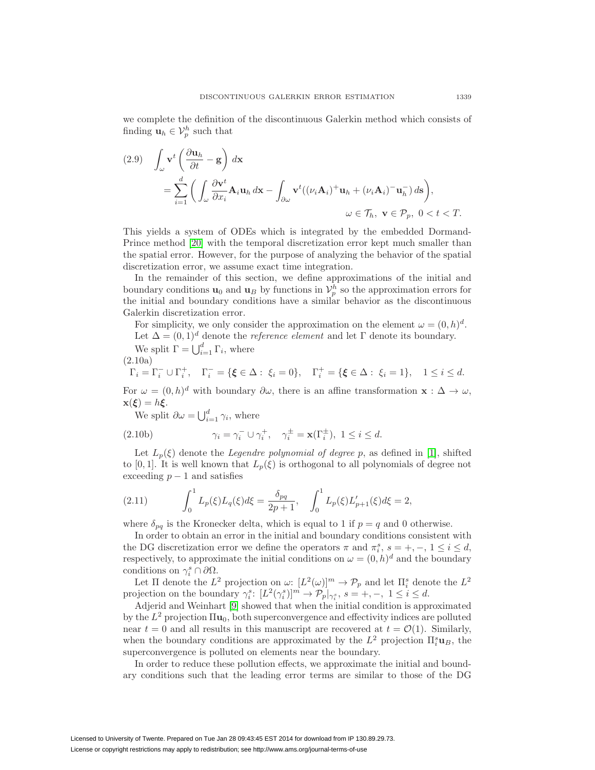we complete the definition of the discontinuous Galerkin method which consists of finding  $\mathbf{u}_h \in \mathcal{V}_p^h$  such that

(2.9) 
$$
\int_{\omega} \mathbf{v}^{t} \left( \frac{\partial \mathbf{u}_{h}}{\partial t} - \mathbf{g} \right) d\mathbf{x} \n= \sum_{i=1}^{d} \left( \int_{\omega} \frac{\partial \mathbf{v}^{t}}{\partial x_{i}} \mathbf{A}_{i} \mathbf{u}_{h} d\mathbf{x} - \int_{\partial \omega} \mathbf{v}^{t} \left( (\nu_{i} \mathbf{A}_{i})^{+} \mathbf{u}_{h} + (\nu_{i} \mathbf{A}_{i})^{-} \mathbf{u}_{h}^{-} \right) d\mathbf{s} \right),
$$
\n
$$
\omega \in \mathcal{T}_{h}, \ \mathbf{v} \in \mathcal{P}_{p}, \ 0 < t < T.
$$

This yields a system of ODEs which is integrated by the embedded Dormand-Prince method [\[20\]](#page-32-6) with the temporal discretization error kept much smaller than the spatial error. However, for the purpose of analyzing the behavior of the spatial discretization error, we assume exact time integration.

In the remainder of this section, we define approximations of the initial and boundary conditions  $\mathbf{u}_0$  and  $\mathbf{u}_B$  by functions in  $\mathcal{V}_p^h$  so the approximation errors for the initial and boundary conditions have a similar behavior as the discontinuous Galerkin discretization error.

For simplicity, we only consider the approximation on the element  $\omega = (0, h)^d$ .

Let  $\Delta = (0, 1)^d$  denote the *reference element* and let  $\Gamma$  denote its boundary.

We split 
$$
\Gamma = \bigcup_{i=1}^{d} \Gamma_i
$$
, where

$$
(2.10a)
$$

$$
\Gamma_i = \Gamma_i^- \cup \Gamma_i^+, \quad \Gamma_i^- = \{ \xi \in \Delta : \xi_i = 0 \}, \quad \Gamma_i^+ = \{ \xi \in \Delta : \xi_i = 1 \}, \quad 1 \leq i \leq d.
$$

For  $\omega = (0, h)^d$  with boundary  $\partial \omega$ , there is an affine transformation **x** :  $\Delta \to \omega$ ,  $\mathbf{x}(\boldsymbol{\xi}) = h\boldsymbol{\xi}.$ 

We split  $\partial \omega = \bigcup_{i=1}^d \gamma_i$ , where

(2.10b) 
$$
\gamma_i = \gamma_i^- \cup \gamma_i^+, \quad \gamma_i^{\pm} = \mathbf{x}(\Gamma_i^{\pm}), \quad 1 \leq i \leq d.
$$

Let  $L_p(\xi)$  denote the *Legendre polynomial of degree p*, as defined in [\[1\]](#page-31-17), shifted to [0, 1]. It is well known that  $L_p(\xi)$  is orthogonal to all polynomials of degree not exceeding  $p-1$  and satisfies

<span id="page-4-0"></span>(2.11) 
$$
\int_0^1 L_p(\xi) L_q(\xi) d\xi = \frac{\delta_{pq}}{2p+1}, \quad \int_0^1 L_p(\xi) L'_{p+1}(\xi) d\xi = 2,
$$

where  $\delta_{pq}$  is the Kronecker delta, which is equal to 1 if  $p = q$  and 0 otherwise.

In order to obtain an error in the initial and boundary conditions consistent with the DG discretization error we define the operators  $\pi$  and  $\pi_i^s$ ,  $s = +, -, 1 \le i \le d$ , respectively, to approximate the initial conditions on  $\omega = (0, h)^d$  and the boundary conditions on  $\gamma_i^s \cap \partial \Omega$ .

Let  $\Pi$  denote the  $L^2$  projection on  $\omega: [L^2(\omega)]^m \to \mathcal{P}_p$  and let  $\Pi_i^s$  denote the  $L^2$ projection on the boundary  $\gamma_i^s$ :  $[L^2(\gamma_i^s)]^m \to \mathcal{P}_p|_{\gamma_i^s}$ ,  $s = +, -, 1 \leq i \leq d$ .

Adjerid and Weinhart [\[9\]](#page-31-15) showed that when the initial condition is approximated by the  $L^2$  projection  $\Pi$ **u**<sub>0</sub>, both superconvergence and effectivity indices are polluted near  $t = 0$  and all results in this manuscript are recovered at  $t = \mathcal{O}(1)$ . Similarly, when the boundary conditions are approximated by the  $L^2$  projection  $\Pi_i^s \mathbf{u}_B$ , the superconvergence is polluted on elements near the boundary.

In order to reduce these pollution effects, we approximate the initial and boundary conditions such that the leading error terms are similar to those of the DG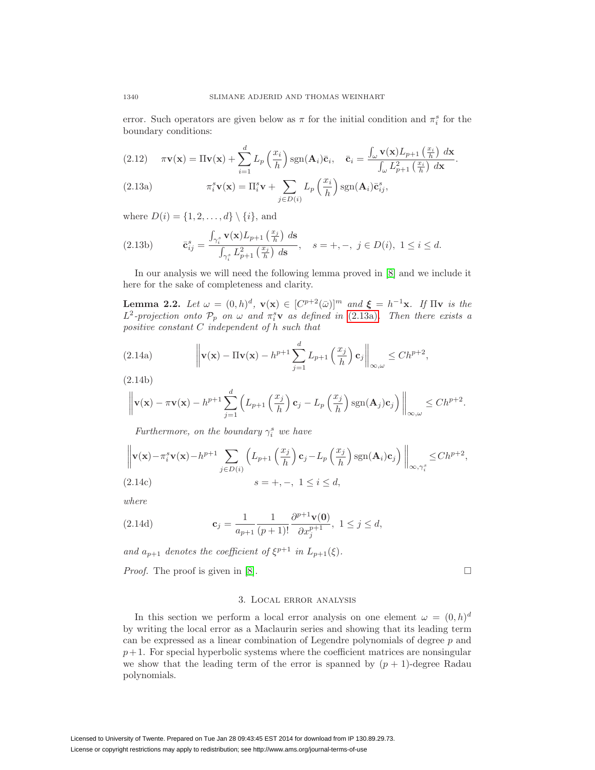error. Such operators are given below as  $\pi$  for the initial condition and  $\pi_i^s$  for the boundary conditions:

<span id="page-5-2"></span>(2.12) 
$$
\pi \mathbf{v}(\mathbf{x}) = \Pi \mathbf{v}(\mathbf{x}) + \sum_{i=1}^{d} L_p \left(\frac{x_i}{h}\right) \text{sgn}(\mathbf{A}_i) \bar{\mathbf{c}}_i, \quad \bar{\mathbf{c}}_i = \frac{\int_{\omega} \mathbf{v}(\mathbf{x}) L_{p+1} \left(\frac{x_i}{h}\right) d\mathbf{x}}{\int_{\omega} L_{p+1}^2 \left(\frac{x_i}{h}\right) d\mathbf{x}}.
$$

<span id="page-5-1"></span>(2.13a) 
$$
\pi_i^s \mathbf{v}(\mathbf{x}) = \Pi_i^s \mathbf{v} + \sum_{j \in D(i)} L_p \left(\frac{x_i}{h}\right) \text{sgn}(\mathbf{A}_i) \bar{\mathbf{c}}_{ij}^s,
$$

where  $D(i) = \{1, 2, ..., d\} \setminus \{i\}$ , and

(2.13b) 
$$
\bar{\mathbf{c}}_{ij}^s = \frac{\int_{\gamma_i^s} \mathbf{v}(\mathbf{x}) L_{p+1} \left(\frac{x_j}{h}\right) d\mathbf{s}}{\int_{\gamma_i^s} L_{p+1}^2 \left(\frac{x_j}{h}\right) d\mathbf{s}}, \quad s = +, -, j \in D(i), 1 \le i \le d.
$$

In our analysis we will need the following lemma proved in [\[8\]](#page-31-14) and we include it here for the sake of completeness and clarity.

<span id="page-5-3"></span>**Lemma 2.2.** Let  $\omega = (0, h)^d$ ,  $\mathbf{v}(\mathbf{x}) \in [C^{p+2}(\bar{\omega})]^m$  and  $\xi = h^{-1}\mathbf{x}$ . If  $\Pi\mathbf{v}$  is the  $L^2$ -projection onto  $\mathcal{P}_p$  on  $\omega$  and  $\pi_i^s \mathbf{v}$  as defined in [\(2.13a\)](#page-5-1). Then there exists a positive constant C independent of h such that

(2.14a) 
$$
\left\| \mathbf{v}(\mathbf{x}) - \Pi \mathbf{v}(\mathbf{x}) - h^{p+1} \sum_{j=1}^d L_{p+1} \left( \frac{x_j}{h} \right) \mathbf{c}_j \right\|_{\infty, \omega} \le C h^{p+2},
$$

(2.14b)

$$
\left\|\mathbf{v}(\mathbf{x}) - \pi \mathbf{v}(\mathbf{x}) - h^{p+1} \sum_{j=1}^d \left(L_{p+1}\left(\frac{x_j}{h}\right) \mathbf{c}_j - L_p\left(\frac{x_j}{h}\right) \text{sgn}(\mathbf{A}_j) \mathbf{c}_j\right)\right\|_{\infty,\omega} \le Ch^{p+2}.
$$

Furthermore, on the boundary  $\gamma_i^s$  we have

$$
\left\| \mathbf{v}(\mathbf{x}) - \pi_i^s \mathbf{v}(\mathbf{x}) - h^{p+1} \sum_{j \in D(i)} \left( L_{p+1} \left( \frac{x_j}{h} \right) \mathbf{c}_j - L_p \left( \frac{x_j}{h} \right) \text{sgn}(\mathbf{A}_i) \mathbf{c}_j \right) \right\|_{\infty, \gamma_i^s} \le Ch^{p+2},
$$
\n(2.14c) 
$$
s = +, -, 1 \le i \le d,
$$

where

(2.14d) 
$$
\mathbf{c}_{j} = \frac{1}{a_{p+1}} \frac{1}{(p+1)!} \frac{\partial^{p+1} \mathbf{v}(0)}{\partial x_{j}^{p+1}}, \ 1 \leq j \leq d,
$$

and  $a_{p+1}$  denotes the coefficient of  $\xi^{p+1}$  in  $L_{p+1}(\xi)$ .

<span id="page-5-0"></span>Proof. The proof is given in [\[8\]](#page-31-14).

 $\Box$ 

## 3. Local error analysis

In this section we perform a local error analysis on one element  $\omega = (0, h)^d$ by writing the local error as a Maclaurin series and showing that its leading term can be expressed as a linear combination of Legendre polynomials of degree p and  $p+1$ . For special hyperbolic systems where the coefficient matrices are nonsingular we show that the leading term of the error is spanned by  $(p + 1)$ -degree Radau polynomials.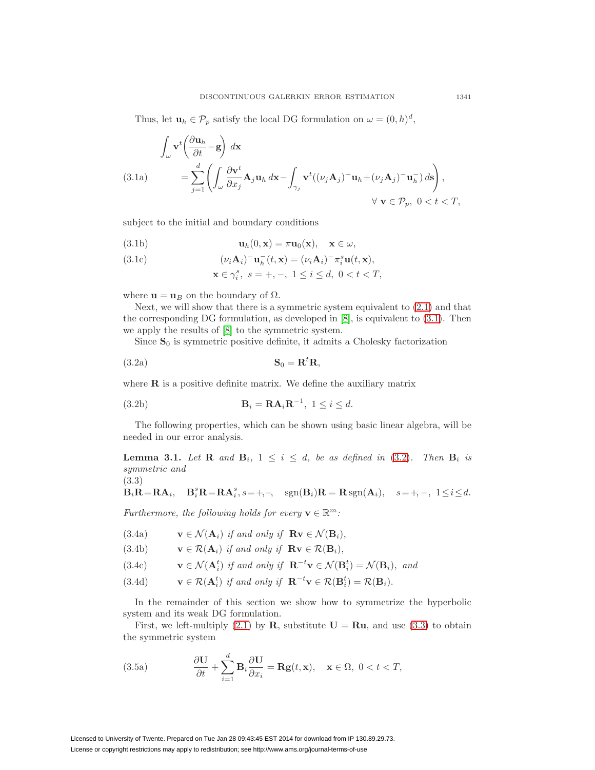Thus, let  $\mathbf{u}_h \in \mathcal{P}_p$  satisfy the local DG formulation on  $\omega = (0, h)^d$ ,

<span id="page-6-3"></span>(3.1a)  
\n
$$
\int_{\omega} \mathbf{v}^{t} \left( \frac{\partial \mathbf{u}_{h}}{\partial t} - \mathbf{g} \right) d\mathbf{x} = \sum_{j=1}^{d} \left( \int_{\omega} \frac{\partial \mathbf{v}^{t}}{\partial x_{j}} \mathbf{A}_{j} \mathbf{u}_{h} d\mathbf{x} - \int_{\gamma_{j}} \mathbf{v}^{t} ((\nu_{j} \mathbf{A}_{j})^{+} \mathbf{u}_{h} + (\nu_{j} \mathbf{A}_{j})^{-} \mathbf{u}_{h}^{-}) d\mathbf{s} \right),
$$
\n
$$
\forall \mathbf{v} \in \mathcal{P}_{p}, \ 0 < t < T,
$$

subject to the initial and boundary conditions

<span id="page-6-4"></span>(3.1b) 
$$
\mathbf{u}_h(0,\mathbf{x}) = \pi \mathbf{u}_0(\mathbf{x}), \quad \mathbf{x} \in \omega,
$$

(3.1c) 
$$
(\nu_i \mathbf{A}_i)^{-} \mathbf{u}_h^{-}(t, \mathbf{x}) = (\nu_i \mathbf{A}_i)^{-} \pi_i^{s} \mathbf{u}(t, \mathbf{x}),
$$

<span id="page-6-1"></span><span id="page-6-0"></span>
$$
\mathbf{x} \in \gamma_i^s, \ s = +, -, \ 1 \le i \le d, \ 0 < t < T,
$$

where  $\mathbf{u} = \mathbf{u}_B$  on the boundary of  $\Omega$ .

Next, we will show that there is a symmetric system equivalent to  $(2.1)$  and that the corresponding DG formulation, as developed in [\[8\]](#page-31-14), is equivalent to [\(3.1\)](#page-6-0). Then we apply the results of [\[8\]](#page-31-14) to the symmetric system.

Since  $S_0$  is symmetric positive definite, it admits a Cholesky factorization

<span id="page-6-5"></span>
$$
S_0 = R^t R,
$$

where  $\bf{R}$  is a positive definite matrix. We define the auxiliary matrix

<span id="page-6-10"></span>(3.2b) 
$$
\mathbf{B}_i = \mathbf{R} \mathbf{A}_i \mathbf{R}^{-1}, \ 1 \leq i \leq d.
$$

The following properties, which can be shown using basic linear algebra, will be needed in our error analysis.

<span id="page-6-7"></span>**Lemma 3.1.** Let **R** and  $\mathbf{B}_i$ ,  $1 \leq i \leq d$ , be as defined in [\(3.2\)](#page-6-1). Then  $\mathbf{B}_i$  is symmetric and

<span id="page-6-2"></span>
$$
(3.3)
$$

$$
\mathbf{B}_i \mathbf{R} = \mathbf{R} \mathbf{A}_i, \quad \mathbf{B}_i^s \mathbf{R} = \mathbf{R} \mathbf{A}_i^s, s = +, -, \quad \text{sgn}(\mathbf{B}_i) \mathbf{R} = \mathbf{R} \text{sgn}(\mathbf{A}_i), \quad s = +, -, \quad 1 \le i \le d.
$$

Furthermore, the following holds for every  $\mathbf{v} \in \mathbb{R}^m$ :

<span id="page-6-8"></span>(3.4a) 
$$
\mathbf{v} \in \mathcal{N}(\mathbf{A}_i) \text{ if and only if } \mathbf{R} \mathbf{v} \in \mathcal{N}(\mathbf{B}_i),
$$

<span id="page-6-9"></span>(3.4b) 
$$
\mathbf{v} \in \mathcal{R}(\mathbf{A}_i) \text{ if and only if } \mathbf{R} \mathbf{v} \in \mathcal{R}(\mathbf{B}_i),
$$

<span id="page-6-12"></span>(3.4c) 
$$
\mathbf{v} \in \mathcal{N}(\mathbf{A}_i^t) \text{ if and only if } \mathbf{R}^{-t}\mathbf{v} \in \mathcal{N}(\mathbf{B}_i^t) = \mathcal{N}(\mathbf{B}_i), \text{ and}
$$

<span id="page-6-11"></span>(3.4d)  $\mathbf{v} \in \mathcal{R}(\mathbf{A}_i^t)$  if and only if  $\mathbf{R}^{-t}\mathbf{v} \in \mathcal{R}(\mathbf{B}_i^t) = \mathcal{R}(\mathbf{B}_i)$ .

In the remainder of this section we show how to symmetrize the hyperbolic system and its weak DG formulation.

<span id="page-6-6"></span>First, we left-multiply  $(2.1)$  by **R**, substitute  $U = Ru$ , and use  $(3.3)$  to obtain the symmetric system

(3.5a) 
$$
\frac{\partial \mathbf{U}}{\partial t} + \sum_{i=1}^{d} \mathbf{B}_{i} \frac{\partial \mathbf{U}}{\partial x_{i}} = \mathbf{R} \mathbf{g}(t, \mathbf{x}), \quad \mathbf{x} \in \Omega, \ 0 < t < T,
$$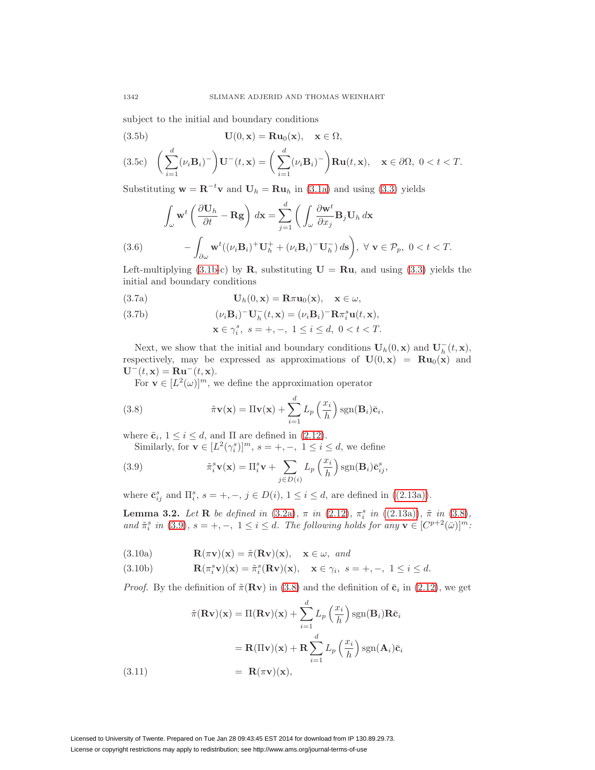subject to the initial and boundary conditions

<span id="page-7-4"></span>(3.5b) 
$$
\mathbf{U}(0,\mathbf{x}) = \mathbf{R}\mathbf{u}_0(\mathbf{x}), \quad \mathbf{x} \in \Omega,
$$

$$
(3.5c)\quad \bigg(\sum_{i=1}^d (\nu_i \mathbf{B}_i)^-\bigg) \mathbf{U}^-(t,\mathbf{x}) = \bigg(\sum_{i=1}^d (\nu_i \mathbf{B}_i)^-\bigg) \mathbf{R} \mathbf{u}(t,\mathbf{x}), \quad \mathbf{x} \in \partial \Omega, \ 0 < t < T.
$$

Substituting  $\mathbf{w} = \mathbf{R}^{-t}\mathbf{v}$  and  $\mathbf{U}_h = \mathbf{R}\mathbf{u}_h$  in [\(3.1a\)](#page-6-3) and using [\(3.3\)](#page-6-2) yields

(3.6) 
$$
\int_{\omega} \mathbf{w}^{t} \left( \frac{\partial \mathbf{U}_{h}}{\partial t} - \mathbf{R} \mathbf{g} \right) d\mathbf{x} = \sum_{j=1}^{d} \left( \int_{\omega} \frac{\partial \mathbf{w}^{t}}{\partial x_{j}} \mathbf{B}_{j} \mathbf{U}_{h} d\mathbf{x} - \int_{\partial \omega} \mathbf{w}^{t} ((\nu_{i} \mathbf{B}_{i})^{+} \mathbf{U}_{h}^{+} + (\nu_{i} \mathbf{B}_{i})^{-} \mathbf{U}_{h}^{-}) d\mathbf{s} \right), \ \forall \ \mathbf{v} \in \mathcal{P}_{p}, \ 0 < t < T.
$$

<span id="page-7-6"></span>Left-multiplying  $(3.1b-c)$  $(3.1b-c)$  by **R**, substituting  $U = Ru$ , and using  $(3.3)$  yields the initial and boundary conditions

(3.7a) 
$$
\mathbf{U}_h(0,\mathbf{x}) = \mathbf{R}\pi\mathbf{u}_0(\mathbf{x}), \quad \mathbf{x} \in \omega,
$$

(3.7b) 
$$
(\nu_i \mathbf{B}_i)^{-} \mathbf{U}_h^{-}(t, \mathbf{x}) = (\nu_i \mathbf{B}_i)^{-} \mathbf{R} \pi_i^{s} \mathbf{u}(t, \mathbf{x}),
$$

<span id="page-7-5"></span>
$$
\mathbf{x} \in \gamma_i^s, \ s = +, -, \ 1 \le i \le d, \ 0 < t < T.
$$

Next, we show that the initial and boundary conditions  $\mathbf{U}_h(0, \mathbf{x})$  and  $\mathbf{U}_h^-(t, \mathbf{x})$ , respectively, may be expressed as approximations of  $U(0, x) = Ru_0(x)$  and  $\mathbf{U}^-(t,\mathbf{x}) = \mathbf{R}\mathbf{u}^-(t,\mathbf{x}).$ 

For  $\mathbf{v} \in [L^2(\omega)]^m$ , we define the approximation operator

<span id="page-7-0"></span>(3.8) 
$$
\tilde{\pi} \mathbf{v}(\mathbf{x}) = \Pi \mathbf{v}(\mathbf{x}) + \sum_{i=1}^{d} L_p \left(\frac{x_i}{h}\right) \text{sgn}(\mathbf{B}_i) \bar{\mathbf{c}}_i,
$$

where  $\bar{\mathbf{c}}_i$ ,  $1 \leq i \leq d$ , and  $\Pi$  are defined in [\(2.12\)](#page-5-2).

Similarly, for **v**  $\in [L^2(\gamma_i^s)]^m$ ,  $s = +, -, 1 \le i \le d$ , we define

<span id="page-7-1"></span>(3.9) 
$$
\tilde{\pi}_i^s \mathbf{v}(\mathbf{x}) = \Pi_i^s \mathbf{v} + \sum_{j \in D(i)} L_p \left(\frac{x_i}{h}\right) \text{sgn}(\mathbf{B}_i) \bar{\mathbf{c}}_{ij}^s,
$$

where  $\bar{\mathbf{c}}_{ij}^s$  and  $\Pi_i^s$ ,  $s = +, -, j \in D(i)$ ,  $1 \leq i \leq d$ , are defined in [\(\(2.13a\)\)](#page-5-1).

**Lemma 3.2.** Let **R** be defined in [\(3.2a\)](#page-6-5),  $\pi$  in [\(2.12\)](#page-5-2),  $\pi_i^s$  in [\(\(2.13a\)\)](#page-5-1),  $\tilde{\pi}$  in [\(3.8\)](#page-7-0), and  $\tilde{\pi}_i^s$  in [\(3.9\)](#page-7-1),  $s = +, -, 1 \leq i \leq d$ . The following holds for any  $\mathbf{v} \in [C^{p+2}(\bar{\omega})]^m$ :

<span id="page-7-3"></span>(3.10a) 
$$
\mathbf{R}(\pi \mathbf{v})(\mathbf{x}) = \tilde{\pi}(\mathbf{R} \mathbf{v})(\mathbf{x}), \quad \mathbf{x} \in \omega, \text{ and}
$$

<span id="page-7-2"></span>(3.10b) 
$$
\mathbf{R}(\pi_i^s \mathbf{v})(\mathbf{x}) = \tilde{\pi}_i^s(\mathbf{R} \mathbf{v})(\mathbf{x}), \quad \mathbf{x} \in \gamma_i, \ s = +, -, \ 1 \leq i \leq d.
$$

*Proof.* By the definition of  $\tilde{\pi}(\mathbf{Rv})$  in [\(3.8\)](#page-7-0) and the definition of  $\bar{\mathbf{c}}_i$  in [\(2.12\)](#page-5-2), we get

(3.11)  

$$
\tilde{\pi}(\mathbf{R}\mathbf{v})(\mathbf{x}) = \Pi(\mathbf{R}\mathbf{v})(\mathbf{x}) + \sum_{i=1}^{d} L_p \left(\frac{x_i}{h}\right) \text{sgn}(\mathbf{B}_i) \mathbf{R} \bar{\mathbf{c}}_i
$$

$$
= \mathbf{R}(\Pi \mathbf{v})(\mathbf{x}) + \mathbf{R} \sum_{i=1}^{d} L_p \left(\frac{x_i}{h}\right) \text{sgn}(\mathbf{A}_i) \bar{\mathbf{c}}_i
$$

$$
= \mathbf{R}(\pi \mathbf{v})(\mathbf{x}),
$$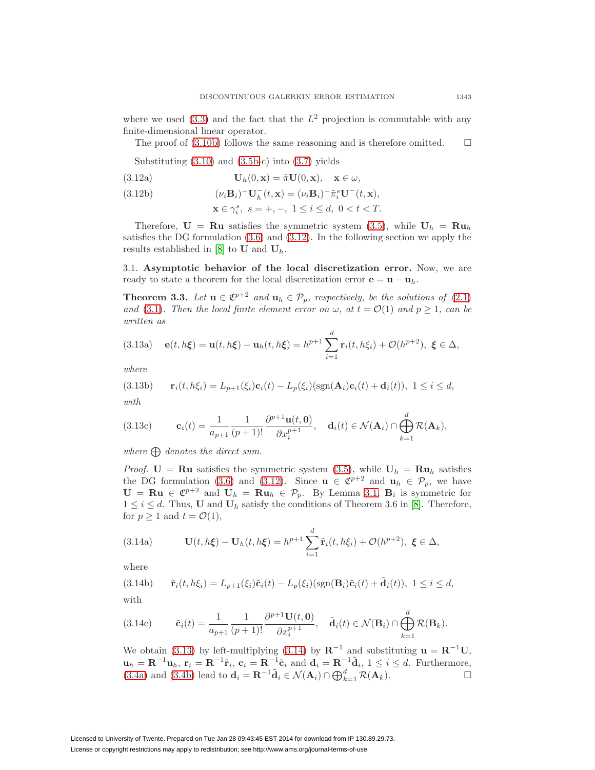where we used  $(3.3)$  and the fact that the  $L^2$  projection is commutable with any finite-dimensional linear operator.

The proof of  $(3.10b)$  follows the same reasoning and is therefore omitted.  $\Box$ 

Substituting  $(3.10)$  and  $(3.5b-c)$  $(3.5b-c)$  into  $(3.7)$  yields

(3.12a) 
$$
\mathbf{U}_h(0,\mathbf{x}) = \tilde{\pi}\mathbf{U}(0,\mathbf{x}), \quad \mathbf{x} \in \omega,
$$

(3.12b) 
$$
(\nu_i \mathbf{B}_i)^{-} \mathbf{U}_h^{-}(t, \mathbf{x}) = (\nu_i \mathbf{B}_i)^{-} \tilde{\pi}_i^s \mathbf{U}^{-}(t, \mathbf{x}),
$$

<span id="page-8-0"></span>
$$
\mathbf{x} \in \gamma_i^s, \ s = +, -, \ 1 \le i \le d, \ 0 < t < T.
$$

Therefore,  $U = Ru$  satisfies the symmetric system [\(3.5\)](#page-6-6), while  $U_h = Ru_h$ satisfies the DG formulation [\(3.6\)](#page-7-6) and [\(3.12\)](#page-8-0). In the following section we apply the results established in  $[8]$  to **U** and  $\mathbf{U}_h$ .

3.1. **Asymptotic behavior of the local discretization error.** Now, we are ready to state a theorem for the local discretization error  $\mathbf{e} = \mathbf{u} - \mathbf{u}_h$ .

<span id="page-8-3"></span>**Theorem 3.3.** Let  $\mathbf{u} \in \mathbb{C}^{p+2}$  and  $\mathbf{u}_h \in \mathcal{P}_p$ , respectively, be the solutions of [\(2.1\)](#page-2-3) and [\(3.1\)](#page-6-0). Then the local finite element error on  $\omega$ , at  $t = \mathcal{O}(1)$  and  $p \ge 1$ , can be written as

<span id="page-8-4"></span><span id="page-8-1"></span>(3.13a) 
$$
\mathbf{e}(t, h\xi) = \mathbf{u}(t, h\xi) - \mathbf{u}_h(t, h\xi) = h^{p+1} \sum_{i=1}^d \mathbf{r}_i(t, h\xi_i) + \mathcal{O}(h^{p+2}), \ \xi \in \Delta,
$$

where

(3.13b) 
$$
\mathbf{r}_i(t, h\xi_i) = L_{p+1}(\xi_i)\mathbf{c}_i(t) - L_p(\xi_i)(\text{sgn}(\mathbf{A}_i)\mathbf{c}_i(t) + \mathbf{d}_i(t)), \ 1 \leq i \leq d,
$$

with

<span id="page-8-5"></span>(3.13c) 
$$
\mathbf{c}_i(t) = \frac{1}{a_{p+1}} \frac{1}{(p+1)!} \frac{\partial^{p+1} \mathbf{u}(t, \mathbf{0})}{\partial x_i^{p+1}}, \quad \mathbf{d}_i(t) \in \mathcal{N}(\mathbf{A}_i) \cap \bigoplus_{k=1}^d \mathcal{R}(\mathbf{A}_k),
$$

where  $\bigoplus$  denotes the direct sum.

*Proof.* **U** = **Ru** satisfies the symmetric system [\(3.5\)](#page-6-6), while  $U_h$  = **Ru**<sub>h</sub> satisfies the DG formulation [\(3.6\)](#page-7-6) and [\(3.12\)](#page-8-0). Since  $\mathbf{u} \in \mathfrak{C}^{p+2}$  and  $\mathbf{u}_h \in \mathcal{P}_p$ , we have **U** = **Ru** ∈  $\mathcal{C}^{p+2}$  and **U**<sub>h</sub> = **Ru**<sub>h</sub> ∈  $\mathcal{P}_p$ . By Lemma [3.1,](#page-6-7) **B**<sub>i</sub> is symmetric for  $1 \leq i \leq d$ . Thus, **U** and  $\mathbf{U}_h$  satisfy the conditions of Theorem 3.6 in [\[8\]](#page-31-14). Therefore, for  $p > 1$  and  $t = \mathcal{O}(1)$ ,

<span id="page-8-2"></span>(3.14a) 
$$
\mathbf{U}(t,h\xi) - \mathbf{U}_h(t,h\xi) = h^{p+1} \sum_{i=1}^d \tilde{\mathbf{r}}_i(t,h\xi_i) + \mathcal{O}(h^{p+2}), \ \xi \in \Delta,
$$

where

(3.14b) 
$$
\tilde{\mathbf{r}}_i(t, h\xi_i) = L_{p+1}(\xi_i)\tilde{\mathbf{c}}_i(t) - L_p(\xi_i)(\text{sgn}(\mathbf{B}_i)\tilde{\mathbf{c}}_i(t) + \tilde{\mathbf{d}}_i(t)), \ 1 \leq i \leq d,
$$

with

(3.14c) 
$$
\tilde{\mathbf{c}}_i(t) = \frac{1}{a_{p+1}} \frac{1}{(p+1)!} \frac{\partial^{p+1} \mathbf{U}(t, \mathbf{0})}{\partial x_i^{p+1}}, \quad \tilde{\mathbf{d}}_i(t) \in \mathcal{N}(\mathbf{B}_i) \cap \bigoplus_{k=1}^d \mathcal{R}(\mathbf{B}_k).
$$

We obtain [\(3.13\)](#page-8-1) by left-multiplying [\(3.14\)](#page-8-2) by  $\mathbf{R}^{-1}$  and substituting  $\mathbf{u} = \mathbf{R}^{-1}\mathbf{U}$ ,  $\mathbf{u}_h = \mathbf{R}^{-1}\mathbf{u}_h, \ \mathbf{r}_i = \mathbf{R}^{-1}\tilde{\mathbf{r}}_i, \ \mathbf{c}_i = \mathbf{R}^{-1}\tilde{\mathbf{c}}_i \text{ and } \mathbf{d}_i = \mathbf{R}^{-1}\tilde{\mathbf{d}}_i, \ 1 \leq i \leq d. \text{ Furthermore,}$ [\(3.4a\)](#page-6-8) and [\(3.4b\)](#page-6-9) lead to  $\mathbf{d}_i = \mathbf{R}^{-1} \tilde{\mathbf{d}}_i \in \mathcal{N}(\mathbf{A}_i) \cap \bigoplus_{k=1}^d \mathcal{R}(\mathbf{A}_k)$ .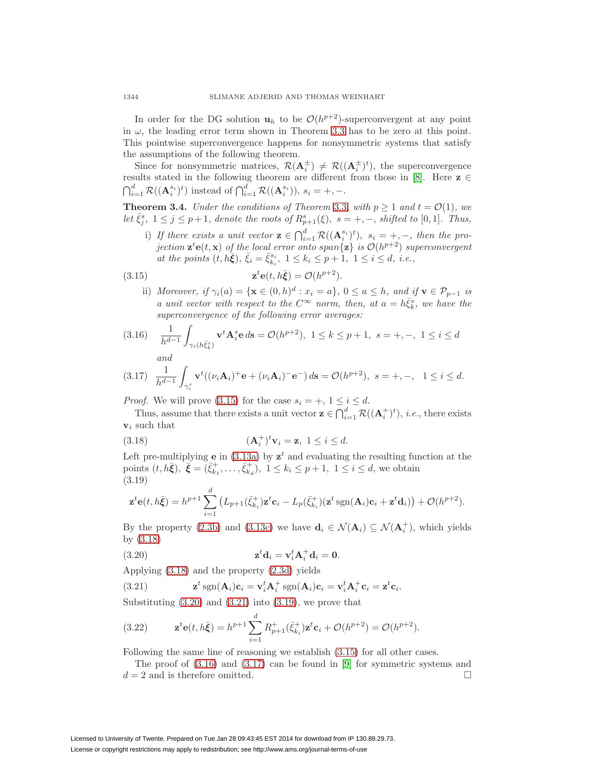In order for the DG solution  $\mathbf{u}_h$  to be  $\mathcal{O}(h^{p+2})$ -superconvergent at any point in  $\omega$ , the leading error term shown in Theorem [3.3](#page-8-3) has to be zero at this point. This pointwise superconvergence happens for nonsymmetric systems that satisfy the assumptions of the following theorem.

Since for nonsymmetric matrices,  $\mathcal{R}(\mathbf{A}_i^{\pm}) \neq \mathcal{R}((\mathbf{A}_i^{\pm})^t)$ , the superconvergence results stated in the following theorem are different from those in [\[8\]](#page-31-14). Here  $z \in$  $\bigcap_{i=1}^d \mathcal{R}((\mathbf{A}_i^{s_i})^t)$  instead of  $\bigcap_{i=1}^d \mathcal{R}((\mathbf{A}_i^{s_i})), s_i = +, -$ .

<span id="page-9-7"></span>**Theorem 3.4.** Under the conditions of Theorem [3.3](#page-8-3), with  $p \ge 1$  and  $t = \mathcal{O}(1)$ , we let  $\bar{\xi}_j^s$ ,  $1 \leq j \leq p+1$ , denote the roots of  $R_{p+1}^s(\xi)$ ,  $s = +, -$ , shifted to [0,1]. Thus,

i) If there exists a unit vector  $\mathbf{z} \in \bigcap_{i=1}^d \mathcal{R}((\mathbf{A}_i^{s_i})^t), s_i = +, -$ , then the projection  $\mathbf{z}^t \mathbf{e}(t, \mathbf{x})$  of the local error onto span $\{\mathbf{z}\}\$ is  $\mathcal{O}(h^{p+2})$  superconvergent at the points  $(t, h\bar{\xi})$ ,  $\bar{\xi}_i = \bar{\xi}_{k_i}^{s_i}$ ,  $1 \leq k_i \leq p+1$ ,  $1 \leq i \leq d$ , *i.e.*,

<span id="page-9-0"></span>(3.15) 
$$
\mathbf{z}^t \mathbf{e}(t, h\bar{\mathbf{\xi}}) = \mathcal{O}(h^{p+2}).
$$

ii) Moreover, if  $\gamma_i(a) = {\mathbf{x} \in (0, h)^d : x_i = a}$ ,  $0 \le a \le h$ , and if  $\mathbf{v} \in \mathcal{P}_{p-1}$  is a unit vector with respect to the  $C^{\infty}$  norm, then, at  $a = h \bar{\xi}_k^s$ , we have the superconvergence of the following error averages:

<span id="page-9-5"></span>
$$
(3.16) \quad \frac{1}{h^{d-1}} \int_{\gamma_i(h\bar{\xi}_k^s)} \mathbf{v}^t \mathbf{A}_i^s \mathbf{e} \, d\mathbf{s} = \mathcal{O}(h^{p+2}), \ 1 \le k \le p+1, \ s = +, -, \ 1 \le i \le d
$$
  
and  

$$
\frac{1}{h^{d-1}} \int_{\gamma_i(h\bar{\xi}_k^s)} \mathbf{v}^t \mathbf{A}_i^s \mathbf{e} \, d\mathbf{s} = \mathcal{O}(h^{p+2}), \ 1 \le k \le p+1, \ s = +, -, \ 1 \le i \le d
$$

<span id="page-9-6"></span>
$$
(3.17) \quad \frac{1}{h^{d-1}} \int_{\gamma_i^s} \mathbf{v}^t ((\nu_i \mathbf{A}_i)^+ \mathbf{e} + (\nu_i \mathbf{A}_i)^- \mathbf{e}^-) \, d\mathbf{s} = \mathcal{O}(h^{p+2}), \ s = +, -, \quad 1 \le i \le d.
$$

*Proof.* We will prove [\(3.15\)](#page-9-0) for the case  $s_i = +, 1 \leq i \leq d$ .

Thus, assume that there exists a unit vector  $\mathbf{z} \in \bigcap_{i=1}^d \mathcal{R}((\mathbf{A}_i^+)^t)$ , *i.e.*, there exists **v**<sup>i</sup> such that

<span id="page-9-1"></span>(3.18) 
$$
(\mathbf{A}_i^+)^t \mathbf{v}_i = \mathbf{z}, \ 1 \leq i \leq d.
$$

Left pre-multiplying **e** in  $(3.13a)$  by  $z^t$  and evaluating the resulting function at the points  $(t, h\bar{\xi}), \ \bar{\xi} = (\bar{\xi}_{k_1}^+, \ldots, \bar{\xi}_{k_d}^+), \ 1 \leq k_i \leq p+1, \ 1 \leq i \leq d$ , we obtain (3.19)

<span id="page-9-4"></span>
$$
\mathbf{z}^t \mathbf{e}(t, h\bar{\boldsymbol{\xi}}) = h^{p+1} \sum_{i=1}^d \left( L_{p+1}(\bar{\zeta}_{k_i}^+) \mathbf{z}^t \mathbf{c}_i - L_p(\bar{\zeta}_{k_i}^+) (\mathbf{z}^t \operatorname{sgn}(\mathbf{A}_i) \mathbf{c}_i + \mathbf{z}^t \mathbf{d}_i) \right) + \mathcal{O}(h^{p+2}).
$$

By the property [\(2.3b\)](#page-3-0) and [\(3.13c\)](#page-8-5) we have  $\mathbf{d}_i \in \mathcal{N}(\mathbf{A}_i) \subseteq \mathcal{N}(\mathbf{A}_i^+)$ , which yields by [\(3.18\)](#page-9-1)

<span id="page-9-2"></span>(3.20) 
$$
\mathbf{z}^t \mathbf{d}_i = \mathbf{v}_i^t \mathbf{A}_i^+ \mathbf{d}_i = \mathbf{0}.
$$

Applying [\(3.18\)](#page-9-1) and the property [\(2.3d\)](#page-3-1) yields

<span id="page-9-3"></span>(3.21) 
$$
\mathbf{z}^t \operatorname{sgn}(\mathbf{A}_i)\mathbf{c}_i = \mathbf{v}_i^t \mathbf{A}_i^+ \operatorname{sgn}(\mathbf{A}_i)\mathbf{c}_i = \mathbf{v}_i^t \mathbf{A}_i^+ \mathbf{c}_i = \mathbf{z}^t \mathbf{c}_i.
$$

Substituting  $(3.20)$  and  $(3.21)$  into  $(3.19)$ , we prove that

(3.22) 
$$
\mathbf{z}^t \mathbf{e}(t, h\bar{\xi}) = h^{p+1} \sum_{i=1}^d R_{p+1}^+(\bar{\xi}_{k_i}^+) \mathbf{z}^t \mathbf{c}_i + \mathcal{O}(h^{p+2}) = \mathcal{O}(h^{p+2}).
$$

Following the same line of reasoning we establish [\(3.15\)](#page-9-0) for all other cases.

The proof of  $(3.16)$  and  $(3.17)$  can be found in [\[9\]](#page-31-15) for symmetric systems and  $d = 2$  and is therefore omitted.  $\Box$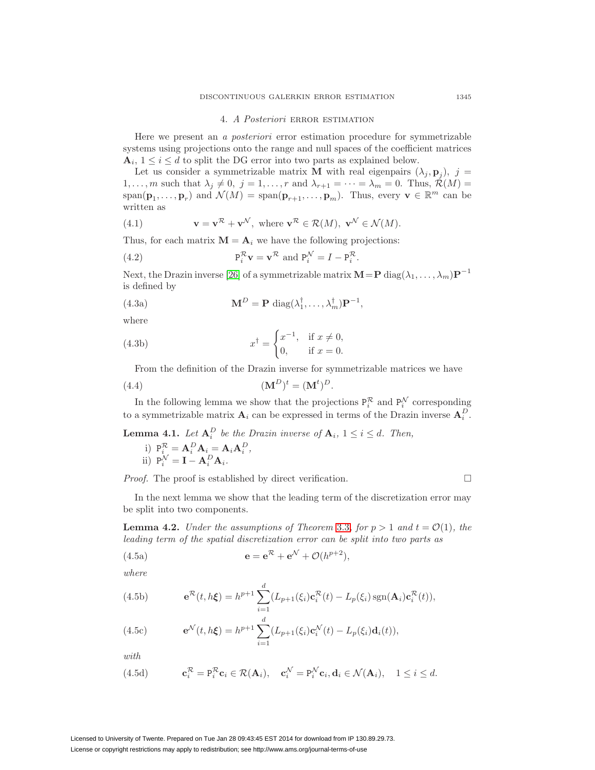#### 4. A Posteriori ERROR ESTIMATION

<span id="page-10-0"></span>Here we present an a posteriori error estimation procedure for symmetrizable systems using projections onto the range and null spaces of the coefficient matrices  $\mathbf{A}_i, 1 \leq i \leq d$  to split the DG error into two parts as explained below.

Let us consider a symmetrizable matrix **M** with real eigenpairs  $(\lambda_i, \mathbf{p}_i)$ ,  $j =$  $1,\ldots,m$  such that  $\lambda_j \neq 0, j = 1,\ldots,r$  and  $\lambda_{r+1} = \cdots = \lambda_m = 0$ . Thus,  $\mathcal{R}(M) =$ span( $\mathbf{p}_1,\ldots,\mathbf{p}_r$ ) and  $\mathcal{N}(M) = \text{span}(\mathbf{p}_{r+1},\ldots,\mathbf{p}_m)$ . Thus, every  $\mathbf{v} \in \mathbb{R}^m$  can be written as

(4.1) 
$$
\mathbf{v} = \mathbf{v}^{\mathcal{R}} + \mathbf{v}^{\mathcal{N}}, \text{ where } \mathbf{v}^{\mathcal{R}} \in \mathcal{R}(M), \mathbf{v}^{\mathcal{N}} \in \mathcal{N}(M).
$$

Thus, for each matrix  $\mathbf{M} = \mathbf{A}_i$  we have the following projections:

(4.2) 
$$
\mathbf{P}_i^{\mathcal{R}} \mathbf{v} = \mathbf{v}^{\mathcal{R}} \text{ and } \mathbf{P}_i^{\mathcal{N}} = I - \mathbf{P}_i^{\mathcal{R}}.
$$

Next, the Drazin inverse [\[26\]](#page-32-7) of a symmetrizable matrix  $M = P \text{ diag}(\lambda_1, \ldots, \lambda_m) P^{-1}$ is defined by

(4.3a) 
$$
\mathbf{M}^D = \mathbf{P} \operatorname{diag}(\lambda_1^{\dagger}, \dots, \lambda_m^{\dagger}) \mathbf{P}^{-1},
$$

where

(4.3b) 
$$
x^{\dagger} = \begin{cases} x^{-1}, & \text{if } x \neq 0, \\ 0, & \text{if } x = 0. \end{cases}
$$

From the definition of the Drazin inverse for symmetrizable matrices we have

<span id="page-10-4"></span>
$$
(4.4) \qquad \qquad (\mathbf{M}^D)^t = (\mathbf{M}^t)^D.
$$

In the following lemma we show that the projections  $P_i^{\mathcal{R}}$  and  $P_i^{\mathcal{N}}$  corresponding to a symmetrizable matrix  $\mathbf{A}_i$  can be expressed in terms of the Drazin inverse  $\mathbf{A}_i^D$ .

<span id="page-10-1"></span>**Lemma 4.1.** Let 
$$
\mathbf{A}_i^D
$$
 be the Drazin inverse of  $\mathbf{A}_i$ ,  $1 \le i \le d$ . Then,  
\ni)  $P_i^{\mathcal{R}} = \mathbf{A}_i^D \mathbf{A}_i = \mathbf{A}_i \mathbf{A}_i^D$ ,  
\nii)  $P_i^{\mathcal{N}} = \mathbf{I} - \mathbf{A}_i^D \mathbf{A}_i$ .

*Proof.* The proof is established by direct verification.  $\Box$ 

<span id="page-10-2"></span>

In the next lemma we show that the leading term of the discretization error may be split into two components.

**Lemma 4.2.** Under the assumptions of Theorem [3.3](#page-8-3), for  $p > 1$  and  $t = \mathcal{O}(1)$ , the leading term of the spatial discretization error can be split into two parts as

<span id="page-10-6"></span>(4.5a) 
$$
\mathbf{e} = \mathbf{e}^{\mathcal{R}} + \mathbf{e}^{\mathcal{N}} + \mathcal{O}(h^{p+2}),
$$

where

(4.5b) 
$$
\mathbf{e}^{\mathcal{R}}(t,h\xi) = h^{p+1} \sum_{i=1}^{d} (L_{p+1}(\xi_i)\mathbf{c}_i^{\mathcal{R}}(t) - L_p(\xi_i)\operatorname{sgn}(\mathbf{A}_i)\mathbf{c}_i^{\mathcal{R}}(t)),
$$

<span id="page-10-5"></span>(4.5c) 
$$
\mathbf{e}^{\mathcal{N}}(t,h\xi) = h^{p+1} \sum_{i=1}^{d} (L_{p+1}(\xi_i)\mathbf{c}_i^{\mathcal{N}}(t) - L_p(\xi_i)\mathbf{d}_i(t)),
$$

with

<span id="page-10-3"></span>(4.5d) 
$$
\mathbf{c}_i^{\mathcal{R}} = \mathbf{P}_i^{\mathcal{R}} \mathbf{c}_i \in \mathcal{R}(\mathbf{A}_i), \quad \mathbf{c}_i^{\mathcal{N}} = \mathbf{P}_i^{\mathcal{N}} \mathbf{c}_i, \mathbf{d}_i \in \mathcal{N}(\mathbf{A}_i), \quad 1 \leq i \leq d.
$$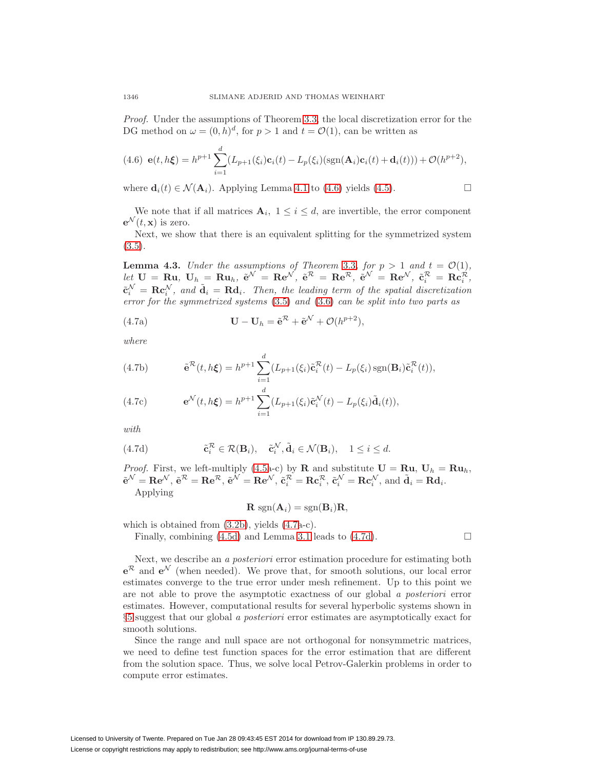Proof. Under the assumptions of Theorem [3.3,](#page-8-3) the local discretization error for the DG method on  $\omega = (0, h)^d$ , for  $p > 1$  and  $t = \mathcal{O}(1)$ , can be written as

<span id="page-11-0"></span>(4.6) 
$$
\mathbf{e}(t, h\xi) = h^{p+1} \sum_{i=1}^{d} (L_{p+1}(\xi_i)\mathbf{c}_i(t) - L_p(\xi_i)(\text{sgn}(\mathbf{A}_i)\mathbf{c}_i(t) + \mathbf{d}_i(t))) + \mathcal{O}(h^{p+2}),
$$

where  $\mathbf{d}_i(t) \in \mathcal{N}(\mathbf{A}_i)$ . Applying Lemma [4.1](#page-10-1) to [\(4.6\)](#page-11-0) yields [\(4.5\)](#page-10-2).

We note that if all matrices  $A_i$ ,  $1 \leq i \leq d$ , are invertible, the error component  $e^{\mathcal{N}}(t, \mathbf{x})$  is zero.

Next, we show that there is an equivalent splitting for the symmetrized system  $(3.5).$  $(3.5).$ 

**Lemma 4.3.** Under the assumptions of Theorem [3.3](#page-8-3), for  $p > 1$  and  $t = \mathcal{O}(1)$ ,  $\delta_{\mathcal{C}}[E_{t} \mathbf{U}] = \mathbf{R} \mathbf{u}_{t}, \ \mathbf{U}_{h} = \mathbf{R} \mathbf{u}_{h}, \ \tilde{\mathbf{e}}^{\mathcal{N}} = \mathbf{R} \mathbf{e}^{\mathcal{N}}, \ \tilde{\mathbf{e}}^{\mathcal{R}} = \mathbf{R} \mathbf{e}^{\mathcal{R}} \mathbf{e}^{\mathcal{R}} = \mathbf{R} \mathbf{e}^{\mathcal{R}} \mathbf{e}^{\mathcal{R}} = \mathbf{R} \mathbf{c}_{i}^{\mathcal{R}}$  $\tilde{\mathbf{c}}_i^{\mathcal{N}} = \mathbf{R} \mathbf{c}_i^{\mathcal{N}}$ , and  $\tilde{\mathbf{d}}_i = \mathbf{R} \mathbf{d}_i$ . Then, the leading term of the spatial discretization error for the symmetrized systems [\(3.5\)](#page-6-6) and [\(3.6\)](#page-7-6) can be split into two parts as

(4.7a) 
$$
\mathbf{U} - \mathbf{U}_h = \tilde{\mathbf{e}}^{\mathcal{R}} + \tilde{\mathbf{e}}^{\mathcal{N}} + \mathcal{O}(h^{p+2}),
$$

where

(4.7b) 
$$
\tilde{\mathbf{e}}^{\mathcal{R}}(t,h\xi) = h^{p+1} \sum_{i=1}^{d} (L_{p+1}(\xi_i)\tilde{\mathbf{c}}_i^{\mathcal{R}}(t) - L_p(\xi_i)\operatorname{sgn}(\mathbf{B}_i)\tilde{\mathbf{c}}_i^{\mathcal{R}}(t)),
$$

(4.7c) 
$$
\mathbf{e}^{\mathcal{N}}(t,h\xi) = h^{p+1} \sum_{i=1}^{d} (L_{p+1}(\xi_i)\tilde{\mathbf{c}}_i^{\mathcal{N}}(t) - L_p(\xi_i)\tilde{\mathbf{d}}_i(t)),
$$

with

<span id="page-11-2"></span>(4.7d) 
$$
\tilde{\mathbf{c}}_i^{\mathcal{R}} \in \mathcal{R}(\mathbf{B}_i), \quad \tilde{\mathbf{c}}_i^{\mathcal{N}}, \tilde{\mathbf{d}}_i \in \mathcal{N}(\mathbf{B}_i), \quad 1 \leq i \leq d.
$$

*Proof.* First, we left-multiply [\(4.5a](#page-10-2)-c) by **R** and substitute  $U = Ru$ ,  $U_h = Ru_h$ ,  $\tilde{\mathbf{e}}^{\mathcal{N}} = \mathbf{R} \mathbf{e}^{\mathcal{N}}, \tilde{\mathbf{e}}^{\mathcal{N}} = \mathbf{R} \mathbf{e}^{\mathcal{N}}, \tilde{\mathbf{c}}_i^{\mathcal{R}} = \mathbf{R} \mathbf{c}_i^{\mathcal{R}}, \tilde{\mathbf{c}}_i^{\mathcal{N}} = \mathbf{R} \mathbf{c}_i^{\mathcal{N}}, \text{ and } \tilde{\mathbf{d}}_i = \mathbf{R} \mathbf{d}_i.$ Applying

$$
\mathbf{R} \operatorname{sgn}(\mathbf{A}_i) = \operatorname{sgn}(\mathbf{B}_i) \mathbf{R},
$$

which is obtained from [\(3.2b\)](#page-6-10), yields [\(4.7a](#page-11-1)-c).

Finally, combining  $(4.5d)$  and Lemma [3.1](#page-6-7) leads to  $(4.7d)$ .

<span id="page-11-1"></span> $\Box$ 

Next, we describe an a posteriori error estimation procedure for estimating both  $e^{\mathcal{R}}$  and  $e^{\mathcal{N}}$  (when needed). We prove that, for smooth solutions, our local error estimates converge to the true error under mesh refinement. Up to this point we are not able to prove the asymptotic exactness of our global a posteriori error estimates. However, computational results for several hyperbolic systems shown in §[5](#page-16-0) suggest that our global a posteriori error estimates are asymptotically exact for smooth solutions.

Since the range and null space are not orthogonal for nonsymmetric matrices, we need to define test function spaces for the error estimation that are different from the solution space. Thus, we solve local Petrov-Galerkin problems in order to compute error estimates.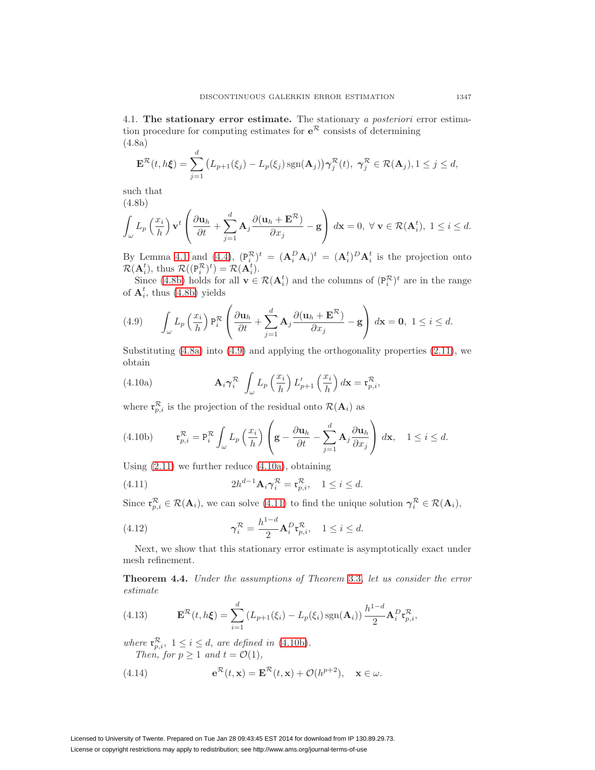4.1. **The stationary error estimate.** The stationary a posteriori error estimation procedure for computing estimates for  $e^R$  consists of determining (4.8a)

<span id="page-12-7"></span><span id="page-12-1"></span>
$$
\mathbf{E}^{\mathcal{R}}(t,h\xi)=\sum_{j=1}^{d} (L_{p+1}(\xi_j)-L_p(\xi_j)\operatorname{sgn}(\mathbf{A}_j))\gamma_j^{\mathcal{R}}(t), \ \gamma_j^{\mathcal{R}}\in\mathcal{R}(\mathbf{A}_j), 1\leq j\leq d,
$$

<span id="page-12-0"></span>such that (4.8b)

$$
\int_{\omega} L_p\left(\frac{x_i}{h}\right) \mathbf{v}^t \left(\frac{\partial \mathbf{u}_h}{\partial t} + \sum_{j=1}^d \mathbf{A}_j \frac{\partial (\mathbf{u}_h + \mathbf{E}^{\mathcal{R}})}{\partial x_j} - \mathbf{g}\right) d\mathbf{x} = 0, \ \forall \ \mathbf{v} \in \mathcal{R}(\mathbf{A}_i^t), \ 1 \le i \le d.
$$

By Lemma [4.1](#page-10-1) and [\(4.4\)](#page-10-4),  $(P_i^{\mathcal{R}})^t = (A_i^D A_i)^t = (A_i^t)^D A_i^t$  is the projection onto  $\mathcal{R}(\mathbf{A}_i^t)$ , thus  $\mathcal{R}((\mathbf{P}_i^{\mathcal{R}})^t) = \mathcal{R}(\mathbf{A}_i^t)$ .

Since [\(4.8b\)](#page-12-0) holds for all  $\mathbf{v} \in \mathcal{R}(\mathbf{A}_i^t)$  and the columns of  $(\mathbf{P}_i^{\mathcal{R}})^t$  are in the range of  $A_i^t$ , thus [\(4.8b\)](#page-12-0) yields

<span id="page-12-2"></span>(4.9) 
$$
\int_{\omega} L_p\left(\frac{x_i}{h}\right) \mathbf{P}_i^{\mathcal{R}} \left(\frac{\partial \mathbf{u}_h}{\partial t} + \sum_{j=1}^d \mathbf{A}_j \frac{\partial (\mathbf{u}_h + \mathbf{E}^{\mathcal{R}})}{\partial x_j} - \mathbf{g}\right) d\mathbf{x} = \mathbf{0}, \ 1 \leq i \leq d.
$$

Substituting [\(4.8a\)](#page-12-1) into [\(4.9\)](#page-12-2) and applying the orthogonality properties [\(2.11\)](#page-4-0), we obtain

<span id="page-12-3"></span>(4.10a) 
$$
\mathbf{A}_{i} \gamma_{i}^{\mathcal{R}} \int_{\omega} L_{p} \left(\frac{x_{i}}{h}\right) L'_{p+1} \left(\frac{x_{i}}{h}\right) d\mathbf{x} = \mathbf{t}_{p,i}^{\mathcal{R}},
$$

where  $\mathfrak{r}_{p,i}^{\mathcal{R}}$  is the projection of the residual onto  $\mathcal{R}(\mathbf{A}_i)$  as

<span id="page-12-5"></span>(4.10b) 
$$
\mathfrak{r}_{p,i}^{\mathcal{R}} = \mathfrak{p}_i^{\mathcal{R}} \int_{\omega} L_p\left(\frac{x_i}{h}\right) \left(\mathbf{g} - \frac{\partial \mathbf{u}_h}{\partial t} - \sum_{j=1}^d \mathbf{A}_j \frac{\partial \mathbf{u}_h}{\partial x_j}\right) d\mathbf{x}, \quad 1 \leq i \leq d.
$$

Using  $(2.11)$  we further reduce  $(4.10a)$ , obtaining

<span id="page-12-4"></span>(4.11) 
$$
2h^{d-1}\mathbf{A}_i\boldsymbol{\gamma}_i^{\mathcal{R}}=\mathbf{r}_{p,i}^{\mathcal{R}}, \quad 1\leq i\leq d.
$$

Since  $\mathfrak{r}_{p,i}^{\mathcal{R}} \in \mathcal{R}(\mathbf{A}_i)$ , we can solve [\(4.11\)](#page-12-4) to find the unique solution  $\gamma_i^{\mathcal{R}} \in \mathcal{R}(\mathbf{A}_i)$ ,

(4.12) 
$$
\gamma_i^{\mathcal{R}} = \frac{h^{1-d}}{2} \mathbf{A}_i^D \mathbf{r}_{p,i}^{\mathcal{R}}, \quad 1 \leq i \leq d.
$$

Next, we show that this stationary error estimate is asymptotically exact under mesh refinement.

<span id="page-12-8"></span>**Theorem 4.4.** Under the assumptions of Theorem [3.3](#page-8-3), let us consider the error estimate

(4.13) 
$$
\mathbf{E}^{\mathcal{R}}(t,h\xi) = \sum_{i=1}^{d} \left( L_{p+1}(\xi_i) - L_p(\xi_i) \operatorname{sgn}(\mathbf{A}_i) \right) \frac{h^{1-d}}{2} \mathbf{A}_i^D \mathbf{t}_{p,i}^{\mathcal{R}},
$$

where  $\mathfrak{r}_{p,i}^{\mathcal{R}}, 1 \leq i \leq d$ , are defined in [\(4.10b\)](#page-12-5). Then, for  $p \geq 1$  and  $t = \mathcal{O}(1)$ ,

<span id="page-12-6"></span>(4.14) 
$$
\mathbf{e}^{\mathcal{R}}(t,\mathbf{x}) = \mathbf{E}^{\mathcal{R}}(t,\mathbf{x}) + \mathcal{O}(h^{p+2}), \quad \mathbf{x} \in \omega.
$$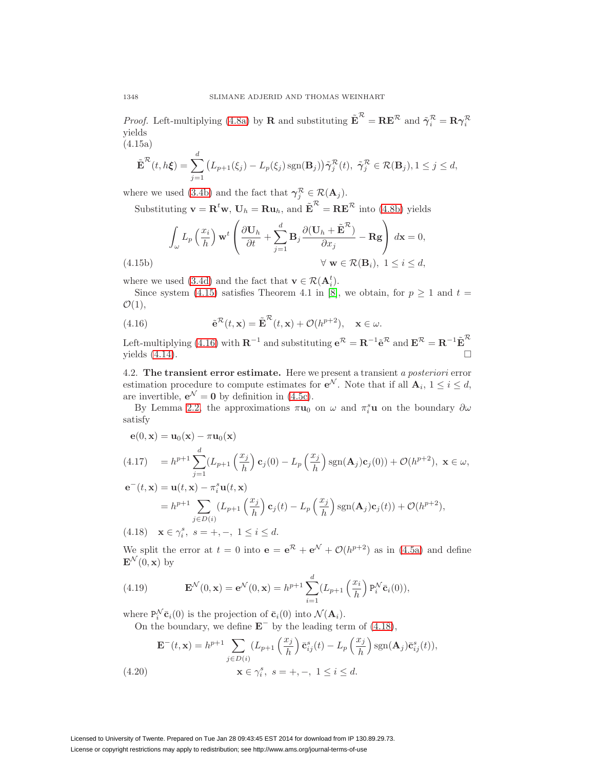*Proof.* Left-multiplying [\(4.8a\)](#page-12-1) by **R** and substituting  $\tilde{\mathbf{E}}^{\mathcal{R}} = \mathbf{R}\mathbf{E}^{\mathcal{R}}$  and  $\tilde{\gamma}_i^{\mathcal{R}} = \mathbf{R}\gamma_i^{\mathcal{R}}$ yields (4.15a)

<span id="page-13-0"></span>
$$
\tilde{\mathbf{E}}^{\mathcal{R}}(t,h\xi) = \sum_{j=1}^{d} (L_{p+1}(\xi_j) - L_p(\xi_j) \operatorname{sgn}(\mathbf{B}_j)) \tilde{\boldsymbol{\gamma}}_j^{\mathcal{R}}(t), \ \tilde{\boldsymbol{\gamma}}_j^{\mathcal{R}} \in \mathcal{R}(\mathbf{B}_j), 1 \leq j \leq d,
$$

where we used [\(3.4b\)](#page-6-9) and the fact that  $\gamma_j^{\mathcal{R}} \in \mathcal{R}(\mathbf{A}_j)$ .

Substituting  $\mathbf{v} = \mathbf{R}^t \mathbf{w}$ ,  $\mathbf{U}_h = \mathbf{R} \mathbf{u}_h$ , and  $\tilde{\mathbf{E}}^{\mathcal{R}} = \mathbf{R} \mathbf{E}^{\mathcal{R}}$  into [\(4.8b\)](#page-12-0) yields

$$
\int_{\omega} L_p\left(\frac{x_i}{h}\right) \mathbf{w}^t \left(\frac{\partial \mathbf{U}_h}{\partial t} + \sum_{j=1}^d \mathbf{B}_j \frac{\partial (\mathbf{U}_h + \tilde{\mathbf{E}}^{\mathcal{R}})}{\partial x_j} - \mathbf{R} \mathbf{g}\right) d\mathbf{x} = 0,
$$
\n(4.15b)\n
$$
\forall \mathbf{w} \in \mathcal{R}(\mathbf{B}_i), \ 1 \le i \le d,
$$

where we used [\(3.4d\)](#page-6-11) and the fact that  $\mathbf{v} \in \mathcal{R}(\mathbf{A}_i^t)$ .

Since system [\(4.15\)](#page-13-0) satisfies Theorem 4.1 in [\[8\]](#page-31-14), we obtain, for  $p \ge 1$  and  $t =$  $\mathcal{O}(1),$ 

<span id="page-13-1"></span>(4.16) 
$$
\tilde{\mathbf{e}}^{\mathcal{R}}(t,\mathbf{x}) = \tilde{\mathbf{E}}^{\mathcal{R}}(t,\mathbf{x}) + \mathcal{O}(h^{p+2}), \quad \mathbf{x} \in \omega.
$$

Left-multiplying [\(4.16\)](#page-13-1) with  $\mathbf{R}^{-1}$  and substituting  $e^{\mathcal{R}} = \mathbf{R}^{-1} \tilde{e}^{\mathcal{R}}$  and  $\mathbf{E}^{\mathcal{R}} = \mathbf{R}^{-1} \tilde{\mathbf{E}}^{\mathcal{R}}$ yields  $(4.14)$ .  $\Box$ 

4.2. **The transient error estimate.** Here we present a transient a posteriori error estimation procedure to compute estimates for  $e^N$ . Note that if all  $A_i$ ,  $1 \leq i \leq d$ , are invertible,  $e^{\mathcal{N}} = 0$  by definition in [\(4.5c\)](#page-10-5).

By Lemma [2.2,](#page-5-3) the approximations  $\pi u_0$  on  $\omega$  and  $\pi_i^s u$  on the boundary  $\partial \omega$ satisfy

$$
\begin{aligned} \mathbf{e}(0, \mathbf{x}) &= \mathbf{u}_0(\mathbf{x}) - \pi \mathbf{u}_0(\mathbf{x}) \\ \text{(4.17)} \quad &= h^{p+1} \sum_{j=1}^d (L_{p+1} \left(\frac{x_j}{h}\right) \mathbf{c}_j(0) - L_p \left(\frac{x_j}{h}\right) \text{sgn}(\mathbf{A}_j) \mathbf{c}_j(0)) + \mathcal{O}(h^{p+2}), \ \mathbf{x} \in \omega, \end{aligned}
$$

$$
\begin{aligned}\n\mathbf{e}^-(t, \mathbf{x}) &= \mathbf{u}(t, \mathbf{x}) - \pi_i^s \mathbf{u}(t, \mathbf{x}) \\
&= h^{p+1} \sum_{j \in D(i)} \left( L_{p+1} \left( \frac{x_j}{h} \right) \mathbf{c}_j(t) - L_p \left( \frac{x_j}{h} \right) \text{sgn}(\mathbf{A}_j) \mathbf{c}_j(t) \right) + \mathcal{O}(h^{p+2}), \\
\text{(4.18)} \quad \mathbf{x} \in \gamma_i^s, \ s = +, -, \ 1 \le i \le d.\n\end{aligned}
$$

<span id="page-13-2"></span>We split the error at  $t = 0$  into  $\mathbf{e} = \mathbf{e}^R + \mathbf{e}^N + \mathcal{O}(h^{p+2})$  as in [\(4.5a\)](#page-10-6) and define  $\mathbf{E}^{\mathcal{N}}(0,\mathbf{x})$  by

(4.19) 
$$
\mathbf{E}^{\mathcal{N}}(0,\mathbf{x}) = \mathbf{e}^{\mathcal{N}}(0,\mathbf{x}) = h^{p+1} \sum_{i=1}^{d} (L_{p+1} \left(\frac{x_i}{h}\right) \mathbf{P}_i^{\mathcal{N}} \bar{\mathbf{c}}_i(0)),
$$

where  $P_i^N \bar{c}_i(0)$  is the projection of  $\bar{c}_i(0)$  into  $\mathcal{N}(\mathbf{A}_i)$ .

On the boundary, we define **E**<sup>−</sup> by the leading term of [\(4.18\)](#page-13-2),

(4.20)  
\n
$$
\mathbf{E}^{-}(t, \mathbf{x}) = h^{p+1} \sum_{j \in D(i)} (L_{p+1} \left(\frac{x_j}{h}\right) \bar{\mathbf{c}}_{ij}^s(t) - L_p \left(\frac{x_j}{h}\right) \text{sgn}(\mathbf{A}_j) \bar{\mathbf{c}}_{ij}^s(t)),
$$
\n
$$
\mathbf{x} \in \gamma_i^s, \ s = +, -, \ 1 \le i \le d.
$$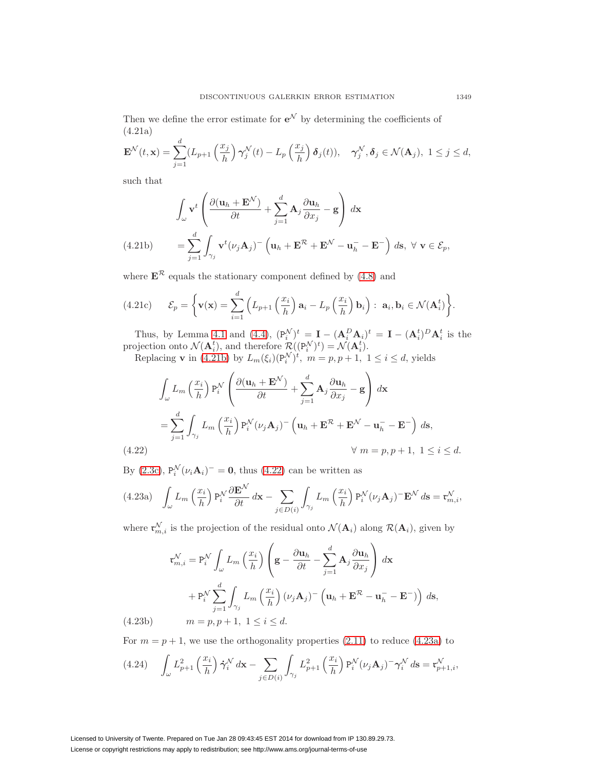<span id="page-14-4"></span>Then we define the error estimate for  $e^{\mathcal{N}}$  by determining the coefficients of (4.21a)

$$
\mathbf{E}^{\mathcal{N}}(t,\mathbf{x}) = \sum_{j=1}^{d} (L_{p+1}\left(\frac{x_j}{h}\right)\gamma_j^{\mathcal{N}}(t) - L_p\left(\frac{x_j}{h}\right)\delta_j(t)), \quad \gamma_j^{\mathcal{N}}, \delta_j \in \mathcal{N}(\mathbf{A}_j), \ 1 \le j \le d,
$$

such that

$$
\int_{\omega} \mathbf{v}^{t} \left( \frac{\partial (\mathbf{u}_{h} + \mathbf{E}^{N})}{\partial t} + \sum_{j=1}^{d} \mathbf{A}_{j} \frac{\partial \mathbf{u}_{h}}{\partial x_{j}} - \mathbf{g} \right) d\mathbf{x}
$$
\n
$$
(4.21b) \qquad = \sum_{j=1}^{d} \int_{\gamma_{j}} \mathbf{v}^{t} (\nu_{j} \mathbf{A}_{j})^{-} \left( \mathbf{u}_{h} + \mathbf{E}^{R} + \mathbf{E}^{N} - \mathbf{u}_{h}^{-} - \mathbf{E}^{-} \right) ds, \ \forall \ \mathbf{v} \in \mathcal{E}_{p},
$$

<span id="page-14-0"></span>where  $\mathbf{E}^{\mathcal{R}}$  equals the stationary component defined by [\(4.8\)](#page-12-7) and

(4.21c) 
$$
\mathcal{E}_p = \left\{ \mathbf{v}(\mathbf{x}) = \sum_{i=1}^d \left( L_{p+1} \left( \frac{x_i}{h} \right) \mathbf{a}_i - L_p \left( \frac{x_i}{h} \right) \mathbf{b}_i \right) : \ \mathbf{a}_i, \mathbf{b}_i \in \mathcal{N}(\mathbf{A}_i^t) \right\}.
$$

Thus, by Lemma [4.1](#page-10-1) and [\(4.4\)](#page-10-4),  $(P_i^{\mathcal{N}})^t = \mathbf{I} - (\mathbf{A}_i^D \mathbf{A}_i)^t = \mathbf{I} - (\mathbf{A}_i^t)^D \mathbf{A}_i^t$  is the projection onto  $\mathcal{N}(\mathbf{A}_i^t)$ , and therefore  $\mathcal{R}((P_i^{\mathcal{N}})^t) = \mathcal{N}(\mathbf{A}_i^t)$ .

Replacing **v** in [\(4.21b\)](#page-14-0) by  $L_m(\xi_i)(P_i^{\mathcal{N}})^t$ ,  $m = p, p + 1, 1 \le i \le d$ , yields

$$
\int_{\omega} L_m \left(\frac{x_i}{h}\right) P_i^{\mathcal{N}} \left(\frac{\partial (\mathbf{u}_h + \mathbf{E}^{\mathcal{N}})}{\partial t} + \sum_{j=1}^d \mathbf{A}_j \frac{\partial \mathbf{u}_h}{\partial x_j} - \mathbf{g}\right) d\mathbf{x}
$$
\n
$$
= \sum_{j=1}^d \int_{\gamma_j} L_m \left(\frac{x_i}{h}\right) P_i^{\mathcal{N}}(\nu_j \mathbf{A}_j) - \left(\mathbf{u}_h + \mathbf{E}^{\mathcal{R}} + \mathbf{E}^{\mathcal{N}} - \mathbf{u}_h - \mathbf{E}^{\mathcal{-}}\right) d\mathbf{s},
$$
\n(4.22)

<span id="page-14-1"></span>By  $(2.3c)$ ,  $P_i^{\mathcal{N}}(\nu_i \mathbf{A}_i)^{-} = \mathbf{0}$ , thus  $(4.22)$  can be written as

<span id="page-14-2"></span>
$$
(4.23a) \quad \int_{\omega} L_m\left(\frac{x_i}{h}\right) P_i^{\mathcal{N}} \frac{\partial \mathbf{E}^{\mathcal{N}}}{\partial t} d\mathbf{x} - \sum_{j \in D(i)} \int_{\gamma_j} L_m\left(\frac{x_i}{h}\right) P_i^{\mathcal{N}}(\nu_j \mathbf{A}_j)^{-} \mathbf{E}^{\mathcal{N}} d\mathbf{s} = \mathfrak{r}_{m,i}^{\mathcal{N}},
$$

where  $\mathfrak{r}_{m,i}^{\mathcal{N}}$  is the projection of the residual onto  $\mathcal{N}(\mathbf{A}_i)$  along  $\mathcal{R}(\mathbf{A}_i)$ , given by

$$
\mathfrak{r}_{m,i}^{\mathcal{N}} = \mathfrak{P}_i^{\mathcal{N}} \int_{\omega} L_m \left(\frac{x_i}{h}\right) \left(\mathbf{g} - \frac{\partial \mathbf{u}_h}{\partial t} - \sum_{j=1}^d \mathbf{A}_j \frac{\partial \mathbf{u}_h}{\partial x_j}\right) d\mathbf{x}
$$

$$
+ \mathfrak{P}_i^{\mathcal{N}} \sum_{j=1}^d \int_{\gamma_j} L_m \left(\frac{x_i}{h}\right) (\nu_j \mathbf{A}_j)^{-} \left(\mathbf{u}_h + \mathbf{E}^{\mathcal{R}} - \mathbf{u}_h^{-} - \mathbf{E}^{-}\right) ds,
$$
(4.23b) 
$$
m = p, p+1, 1 \le i \le d.
$$

<span id="page-14-3"></span>For  $m = p + 1$ , we use the orthogonality properties  $(2.11)$  to reduce  $(4.23a)$  to

$$
(4.24) \quad \int_{\omega} L_{p+1}^2\left(\frac{x_i}{h}\right) \dot{\gamma}_i^{\mathcal{N}} d\mathbf{x} - \sum_{j \in D(i)} \int_{\gamma_j} L_{p+1}^2\left(\frac{x_i}{h}\right) \mathbf{P}_i^{\mathcal{N}}(\nu_j \mathbf{A}_j)^{-} \gamma_i^{\mathcal{N}} d\mathbf{s} = \mathfrak{r}_{p+1,i}^{\mathcal{N}},
$$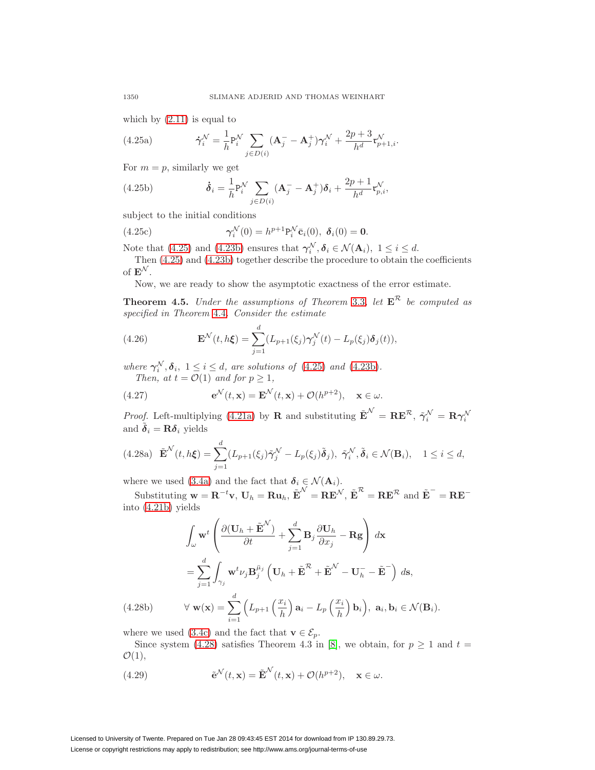<span id="page-15-0"></span>which by  $(2.11)$  is equal to

(4.25a) 
$$
\dot{\gamma}_i^{\mathcal{N}} = \frac{1}{h} P_i^{\mathcal{N}} \sum_{j \in D(i)} (\mathbf{A}_j - \mathbf{A}_j^+) \gamma_i^{\mathcal{N}} + \frac{2p+3}{h^d} \mathfrak{r}_{p+1,i}^{\mathcal{N}}.
$$

For  $m = p$ , similarly we get

(4.25b) 
$$
\dot{\boldsymbol{\delta}}_i = \frac{1}{h} P_i^{\mathcal{N}} \sum_{j \in D(i)} (\mathbf{A}_j - \mathbf{A}_j^+) \boldsymbol{\delta}_i + \frac{2p+1}{h^d} \mathbf{r}_{p,i}^{\mathcal{N}},
$$

subject to the initial conditions

(4.25c) 
$$
\gamma_i^{\mathcal{N}}(0) = h^{p+1} P_i^{\mathcal{N}} \bar{c}_i(0), \ \delta_i(0) = 0.
$$

Note that [\(4.25\)](#page-15-0) and [\(4.23b\)](#page-14-3) ensures that  $\gamma_i^N, \delta_i \in \mathcal{N}(\mathbf{A}_i)$ ,  $1 \leq i \leq d$ .

Then [\(4.25\)](#page-15-0) and [\(4.23b\)](#page-14-3) together describe the procedure to obtain the coefficients of  $\mathbf{E}^{\mathcal{N}}$ .

Now, we are ready to show the asymptotic exactness of the error estimate.

<span id="page-15-4"></span>**Theorem 4.5.** Under the assumptions of Theorem [3.3](#page-8-3), let  $E^R$  be computed as specified in Theorem [4.4](#page-12-8). Consider the estimate

(4.26) 
$$
\mathbf{E}^{\mathcal{N}}(t,h\xi) = \sum_{j=1}^{d} (L_{p+1}(\xi_j)\boldsymbol{\gamma}_j^{\mathcal{N}}(t) - L_p(\xi_j)\boldsymbol{\delta}_j(t)),
$$

where  $\gamma_i^N$ ,  $\delta_i$ ,  $1 \le i \le d$ , are solutions of [\(4.25\)](#page-15-0) and [\(4.23b\)](#page-14-3). Then, at  $t = \mathcal{O}(1)$  and for  $p \geq 1$ ,

<span id="page-15-3"></span>(4.27) 
$$
\mathbf{e}^{\mathcal{N}}(t,\mathbf{x}) = \mathbf{E}^{\mathcal{N}}(t,\mathbf{x}) + \mathcal{O}(h^{p+2}), \quad \mathbf{x} \in \omega.
$$

Proof. Left-multiplying [\(4.21a\)](#page-14-4) by **R** and substituting  $\tilde{\mathbf{E}}^N = \mathbf{R}\mathbf{E}^{\mathcal{R}}, \ \tilde{\gamma}_i^{\mathcal{N}} = \mathbf{R}\gamma_i^{\mathcal{N}}$ and  $\tilde{\boldsymbol{\delta}}_i = \mathbf{R}\boldsymbol{\delta}_i$  yields

<span id="page-15-1"></span>(4.28a) 
$$
\tilde{\mathbf{E}}^{\mathcal{N}}(t, h\xi) = \sum_{j=1}^{d} (L_{p+1}(\xi_j)\tilde{\boldsymbol{\gamma}}_j^{\mathcal{N}} - L_p(\xi_j)\tilde{\boldsymbol{\delta}}_j), \ \tilde{\boldsymbol{\gamma}}_i^{\mathcal{N}}, \tilde{\boldsymbol{\delta}}_i \in \mathcal{N}(\mathbf{B}_i), \quad 1 \leq i \leq d,
$$

where we used [\(3.4a\)](#page-6-8) and the fact that  $\delta_i \in \mathcal{N}(\mathbf{A}_i)$ .

 $\text{Substituting } \mathbf{w} = \mathbf{R}^{-t} \mathbf{v}, \mathbf{U}_h = \mathbf{R} \mathbf{u}_h, \tilde{\mathbf{E}}^N = \mathbf{R} \mathbf{E}^N, \tilde{\mathbf{E}}^N = \mathbf{R} \mathbf{E}^R \text{ and } \tilde{\mathbf{E}}^T = \mathbf{R} \mathbf{E}^{-T}$ into [\(4.21b\)](#page-14-0) yields

$$
\int_{\omega} \mathbf{w}^{t} \left( \frac{\partial (\mathbf{U}_{h} + \tilde{\mathbf{E}}^{N})}{\partial t} + \sum_{j=1}^{d} \mathbf{B}_{j} \frac{\partial \mathbf{U}_{h}}{\partial x_{j}} - \mathbf{R} \mathbf{g} \right) d\mathbf{x}
$$
\n
$$
= \sum_{j=1}^{d} \int_{\gamma_{j}} \mathbf{w}^{t} \nu_{j} \mathbf{B}_{j}^{\bar{\mu}_{j}} \left( \mathbf{U}_{h} + \tilde{\mathbf{E}}^{R} + \tilde{\mathbf{E}}^{N} - \mathbf{U}_{h}^{-} - \tilde{\mathbf{E}}^{-} \right) d\mathbf{s},
$$

(4.28b) 
$$
\forall \mathbf{w}(\mathbf{x}) = \sum_{i=1}^{a} \left( L_{p+1} \left( \frac{x_i}{h} \right) \mathbf{a}_i - L_p \left( \frac{x_i}{h} \right) \mathbf{b}_i \right), \mathbf{a}_i, \mathbf{b}_i \in \mathcal{N}(\mathbf{B}_i).
$$

where we used [\(3.4c\)](#page-6-12) and the fact that **v**  $\in \mathcal{E}_p$ .

Since system [\(4.28\)](#page-15-1) satisfies Theorem 4.3 in [\[8\]](#page-31-14), we obtain, for  $p \ge 1$  and  $t =$  $\mathcal{O}(1),$ 

<span id="page-15-2"></span>(4.29) 
$$
\tilde{\mathbf{e}}^{\mathcal{N}}(t,\mathbf{x}) = \tilde{\mathbf{E}}^{\mathcal{N}}(t,\mathbf{x}) + \mathcal{O}(h^{p+2}), \quad \mathbf{x} \in \omega.
$$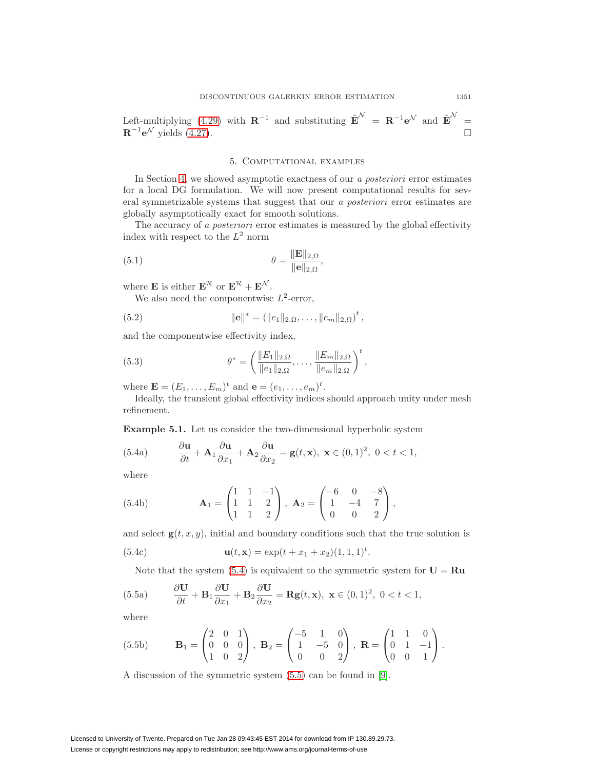Left-multiplying [\(4.29\)](#page-15-2) with  $\mathbf{R}^{-1}$  and substituting  $\tilde{\mathbf{E}}^{\mathcal{N}} = \mathbf{R}^{-1} \mathbf{e}^{\mathcal{N}}$  and  $\tilde{\mathbf{E}}^{\mathcal{N}} =$  $\mathbf{R}^{-1}\mathbf{e}^{\mathcal{N}}$  yields [\(4.27\)](#page-15-3).

## 5. Computational examples

<span id="page-16-0"></span>In Section [4,](#page-10-0) we showed asymptotic exactness of our a posteriori error estimates for a local DG formulation. We will now present computational results for several symmetrizable systems that suggest that our a posteriori error estimates are globally asymptotically exact for smooth solutions.

The accuracy of a *posteriori* error estimates is measured by the global effectivity index with respect to the  $L^2$  norm

(5.1) 
$$
\theta = \frac{\|\mathbf{E}\|_{2,\Omega}}{\|\mathbf{e}\|_{2,\Omega}},
$$

where **E** is either  $\mathbf{E}^{\mathcal{R}}$  or  $\mathbf{E}^{\mathcal{R}} + \mathbf{E}^{\mathcal{N}}$ .

We also need the componentwise  $L^2$ -error,

(5.2) 
$$
\|\mathbf{e}\|^* = (\|e_1\|_{2,\Omega}, \dots, \|e_m\|_{2,\Omega})^t,
$$

and the componentwise effectivity index,

(5.3) 
$$
\theta^* = \left(\frac{\|E_1\|_{2,\Omega}}{\|e_1\|_{2,\Omega}}, \dots, \frac{\|E_m\|_{2,\Omega}}{\|e_m\|_{2,\Omega}}\right)^t,
$$

where  $\mathbf{E} = (E_1, ..., E_m)^t$  and  $\mathbf{e} = (e_1, ..., e_m)^t$ .

Ideally, the transient global effectivity indices should approach unity under mesh refinement.

<span id="page-16-3"></span>**Example 5.1.** Let us consider the two-dimensional hyperbolic system

<span id="page-16-1"></span>(5.4a) 
$$
\frac{\partial \mathbf{u}}{\partial t} + \mathbf{A}_1 \frac{\partial \mathbf{u}}{\partial x_1} + \mathbf{A}_2 \frac{\partial \mathbf{u}}{\partial x_2} = \mathbf{g}(t, \mathbf{x}), \ \mathbf{x} \in (0, 1)^2, \ 0 < t < 1,
$$

where

(5.4b) 
$$
\mathbf{A}_1 = \begin{pmatrix} 1 & 1 & -1 \\ 1 & 1 & 2 \\ 1 & 1 & 2 \end{pmatrix}, \ \mathbf{A}_2 = \begin{pmatrix} -6 & 0 & -8 \\ 1 & -4 & 7 \\ 0 & 0 & 2 \end{pmatrix},
$$

and select  $g(t, x, y)$ , initial and boundary conditions such that the true solution is

(5.4c) 
$$
\mathbf{u}(t, \mathbf{x}) = \exp(t + x_1 + x_2)(1, 1, 1)^t.
$$

<span id="page-16-2"></span>Note that the system  $(5.4)$  is equivalent to the symmetric system for  $U = Ru$ 

(5.5a) 
$$
\frac{\partial \mathbf{U}}{\partial t} + \mathbf{B}_1 \frac{\partial \mathbf{U}}{\partial x_1} + \mathbf{B}_2 \frac{\partial \mathbf{U}}{\partial x_2} = \mathbf{R} \mathbf{g}(t, \mathbf{x}), \ \mathbf{x} \in (0, 1)^2, \ 0 < t < 1,
$$

where

(5.5b) 
$$
\mathbf{B}_1 = \begin{pmatrix} 2 & 0 & 1 \\ 0 & 0 & 0 \\ 1 & 0 & 2 \end{pmatrix}, \ \mathbf{B}_2 = \begin{pmatrix} -5 & 1 & 0 \\ 1 & -5 & 0 \\ 0 & 0 & 2 \end{pmatrix}, \ \mathbf{R} = \begin{pmatrix} 1 & 1 & 0 \\ 0 & 1 & -1 \\ 0 & 0 & 1 \end{pmatrix}.
$$

A discussion of the symmetric system [\(5.5\)](#page-16-2) can be found in [\[9\]](#page-31-15).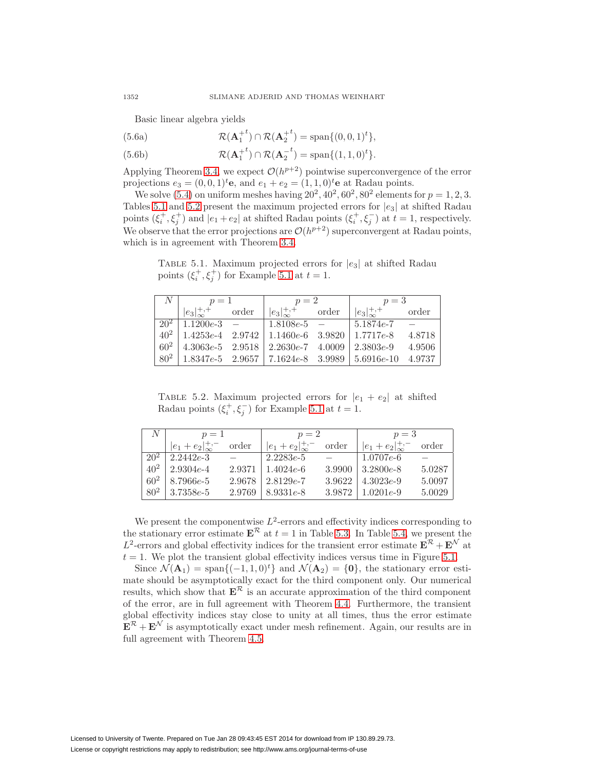Basic linear algebra yields

(5.6a) 
$$
\mathcal{R}(\mathbf{A}_1^{+t}) \cap \mathcal{R}(\mathbf{A}_2^{+t}) = \text{span}\{(0,0,1)^t\},\
$$

(5.6b) 
$$
\mathcal{R}(\mathbf{A}_1^{+t}) \cap \mathcal{R}(\mathbf{A}_2^{-t}) = \text{span}\{(1,1,0)^t\}.
$$

Applying Theorem [3.4,](#page-9-7) we expect  $\mathcal{O}(h^{p+2})$  pointwise superconvergence of the error projections  $e_3 = (0, 0, 1)^t$ **e**, and  $e_1 + e_2 = (1, 1, 0)^t$ **e** at Radau points.

We solve [\(5.4\)](#page-16-1) on uniform meshes having  $20^2$ ,  $40^2$ ,  $60^2$ ,  $80^2$  elements for  $p = 1, 2, 3$ . Tables [5.1](#page-17-0) and [5.2](#page-17-1) present the maximum projected errors for  $|e_3|$  at shifted Radau points  $(\xi_i^+, \xi_j^+)$  and  $|e_1 + e_2|$  at shifted Radau points  $(\xi_i^+, \xi_j^-)$  at  $t = 1$ , respectively. We observe that the error projections are  $\mathcal{O}(h^{p+2})$  superconvergent at Radau points, which is in agreement with Theorem [3.4.](#page-9-7)

<span id="page-17-0"></span>TABLE 5.1. Maximum projected errors for  $|e_3|$  at shifted Radau points  $(\xi_i^+, \xi_j^+)$  for Example [5.1](#page-16-3) at  $t = 1$ .

| $\mathcal{N}$ | $p=1$                                        |       | $p=2$                        |  | $p=3$                                                      |        |
|---------------|----------------------------------------------|-------|------------------------------|--|------------------------------------------------------------|--------|
|               | $ e_3 _{\infty}^{+,+}$                       | order | $ e_3 _{\infty}^{+,+}$ order |  | $ e_3 _{\infty}^{+,+}$                                     | order  |
|               | $\boxed{20^2 \mid 1.1200e-3}$ –              |       | $1.8108e-5$ -                |  | $1,5.1874e-7$                                              |        |
|               |                                              |       |                              |  | $40^2$   1.4253e-4 2.9742   1.1460e-6 3.9820   1.7717e-8   | 4.8718 |
|               | $60^2$   4.3063e-5 2.9518   2.2630e-7 4.0009 |       |                              |  | $2.3803e-9$                                                | 4.9506 |
| $80^2$        |                                              |       |                              |  | $1.8347e-5$ $2.9657$   $7.1624e-8$ $3.9989$   $5.6916e-10$ | 4.9737 |

<span id="page-17-1"></span>TABLE 5.2. Maximum projected errors for  $|e_1 + e_2|$  at shifted Radau points  $(\xi_i^+, \xi_j^-)$  for Example [5.1](#page-16-3) at  $t = 1$ .

| N        | $p=1$                      |        | $p=2$                      |        | $p=3$                      |        |
|----------|----------------------------|--------|----------------------------|--------|----------------------------|--------|
|          | $ e_1+e_2 _{\infty}^{+,-}$ | order  | $ e_1+e_2 _{\infty}^{+,-}$ | order  | $ e_1+e_2 _{\infty}^{+,-}$ | order  |
| $20^{2}$ | $2.2442e-3$                |        | $2.2283e-5$                |        | $1.0707e-6$                |        |
| $40^{2}$ | $2.9304e-4$                | 2.9371 | $1.4024e-6$                | 3.9900 | $3.2800e-8$                | 5.0287 |
| $60^{2}$ | 8.7966e-5                  | 2.9678 | $2.8129e-7$                | 3.9622 | $4.3023e-9$                | 5.0097 |
| $80^{2}$ | $3.7358e-5$                | 2.9769 | $8.9331e-8$                | 3.9872 | $1.0201e-9$                | 5.0029 |

We present the componentwise  $L^2$ -errors and effectivity indices corresponding to the stationary error estimate  $\mathbf{E}^{\mathcal{R}}$  at  $t = 1$  in Table [5.3.](#page-18-0) In Table [5.4,](#page-19-0) we present the L<sup>2</sup>-errors and global effectivity indices for the transient error estimate  $\mathbf{E}^{\mathcal{R}} + \mathbf{E}^{\mathcal{N}}$  at  $t = 1$ . We plot the transient global effectivity indices versus time in Figure [5.1.](#page-19-1)

Since  $\mathcal{N}(\mathbf{A}_1) = \text{span}\{(-1, 1, 0)^t\}$  and  $\mathcal{N}(\mathbf{A}_2) = \{0\}$ , the stationary error estimate should be asymptotically exact for the third component only. Our numerical results, which show that  $\mathbf{E}^{\mathcal{R}}$  is an accurate approximation of the third component of the error, are in full agreement with Theorem [4.4.](#page-12-8) Furthermore, the transient global effectivity indices stay close to unity at all times, thus the error estimate  $\mathbf{E}^{\mathcal{R}} + \mathbf{E}^{\mathcal{N}}$  is asymptotically exact under mesh refinement. Again, our results are in full agreement with Theorem [4.5.](#page-15-4)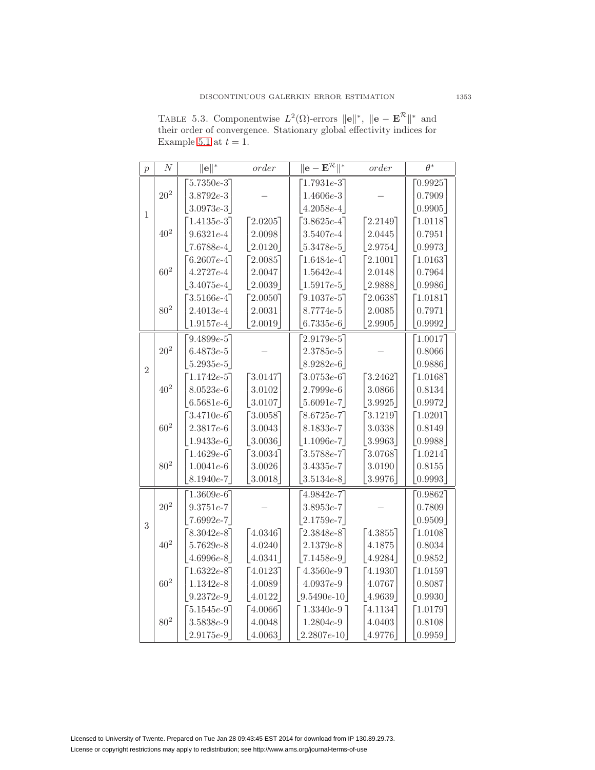<span id="page-18-0"></span>TABLE 5.3. Componentwise  $L^2(\Omega)$ -errors  $\|\mathbf{e}\|^*, \|\mathbf{e} - \mathbf{E}^{\mathcal{R}}\|^*$  and their order of convergence. Stationary global effectivity indices for Example [5.1](#page-16-3) at  $t = 1$ .

| $\overline{p}$ | $\boldsymbol{N}$ | $\ \mathbf{e}\ ^*$ | order    | $ \mathrm{e}-\mathrm{E}^{\overline{\mathcal{R}}\,  ^*}$ | $order$   | $\overline{\theta^*}$ |
|----------------|------------------|--------------------|----------|---------------------------------------------------------|-----------|-----------------------|
|                |                  | $5.7350e-3$        |          | $1.7931e-3$                                             |           | 0.9925                |
|                | $20^{2}$         | $3.8792e-3$        |          | $1.4606e-3$                                             |           | 0.7909                |
| $\mathbf{1}$   |                  | $3.0973e-3$        |          | $4.2058e-4$                                             |           | 0.9905                |
|                |                  | $[1.4135e-3]$      | [2.0205] | $3.8625e-4$ ]                                           | [2.2149]  | [1.0118]              |
|                | $40^2\,$         | $9.6321e-4$        | 2.0098   | $3.5407e - 4$                                           | 2.0445    | 0.7951                |
|                |                  | $7.6788e-4$        | 2.0120   | $ 5.3478e-5 $                                           | 2.9754    | 0.9973                |
|                |                  | $6.2607e-4$        | 2.0085   | $[1.6484e-4]$                                           | 2.1001    | [1.0163]              |
|                | $60^{2}$         | $4.2727e-4$        | 2.0047   | $1.5642e-4$                                             | 2.0148    | 0.7964                |
|                |                  | $3.4075e-4$        | 2.0039   | $1.5917e-5$                                             | 2.9888    | 0.9986                |
|                |                  | $3.5166e-4$        | 2.0050   | $9.1037e-5$                                             | 2.0638    | 1.0181                |
|                | $80^2\,$         | $2.4013e-4$        | 2.0031   | $8.7774e-5$                                             | 2.0085    | 0.7971                |
|                |                  | $1.9157e-4$        | 2.0019   | $6.7335e-6$                                             | 2.9905    | 0.9992                |
|                |                  | $9.4899e-5$        |          | $2.9179e-5$                                             |           | 1.0017                |
|                | $20^{2}$         | $6.4873e-5$        |          | $2.3785e-5$                                             |           | 0.8066                |
| $\overline{2}$ |                  | $5.2935e-5$        |          | $8.9282e-6$                                             |           | 0.9886                |
|                |                  | $[1.1742e-5]$      | 3.0147   | $3.0753e-6$ ]                                           | 3.2462    | [1.0168]              |
|                | $40^{2}$         | $8.0523e-6$        | 3.0102   | $2.7999e-6$                                             | 3.0866    | 0.8134                |
|                |                  | $6.5681e-6$        | 3.0107   | $5.6091e-7$                                             | 3.9925    | 0.9972                |
|                |                  | $3.4710e-6$ ]      | [3.0058] | $8.6725e-7$                                             | 3.1219]   | [1.0201]              |
|                | $60^{2}$         | $2.3817e-6$        | 3.0043   | $8.1833e-7$                                             | 3.0338    | 0.8149                |
|                |                  | $1.9433e-6$        | 3.0036   | $1.1096e-7$                                             | 3.9963    | 0.9988                |
|                |                  | $[1.4629e-6]$      | [3.0034] | $3.5788e-7$                                             | 3.07687   | [1.0214]              |
|                | $80^{2}$         | $1.0041e-6$        | 3.0026   | $3.4335e-7$                                             | 3.0190    | 0.8155                |
|                |                  | $8.1940e-7$        | 3.0018   | $3.5134e-8$                                             | 3.9976    | 0.9993                |
|                |                  | $1.3609e-6$        |          | $4.9842e-7$                                             |           | 0.9862                |
|                | $20^2\,$         | $9.3751e-7$        |          | $3.8953e-7$                                             |           | 0.7809                |
| 3              |                  | $7.6992e-7$        |          | $2.1759e-7$                                             |           | 0.9509                |
|                |                  | $8.3042e-8$ ]      | [4.0346] | $[2.3848e-8]$                                           | $-4.3855$ | [1.0108]              |
|                | $40^2\,$         | $5.7629e-8$        | 4.0240   | $2.1379e-8$                                             | 4.1875    | 0.8034                |
|                |                  | $4.6996e-8$        | 4.0341   | $7.1458e-9$                                             | 4.9284    | 0.9852                |
|                |                  | $[1.6322e-8]$      | [4.0123] | $4.3560e-9$ ]                                           | 74.1930   | [1.0159]              |
|                | $60^{2}$         | $1.1342e-8$        | 4.0089   | $4.0937e-9$                                             | 4.0767    | 0.8087                |
|                |                  | $9.2372e-9$        | 4.0122   | $9.5490e-10$                                            | 4.9639    | 0.9930                |
|                |                  | $[5.1545e-9]$      | [4.0066] | $1.3340e-9$                                             | 4.1134    | [1.0179]              |
|                | $80^{2}$         | $3.5838e-9$        | 4.0048   | $1.2804e-9$                                             | 4.0403    | 0.8108                |
|                |                  | $2.9175e-9$        | 4.0063   | $2.2807e-10$                                            | 4.9776    | 0.9959                |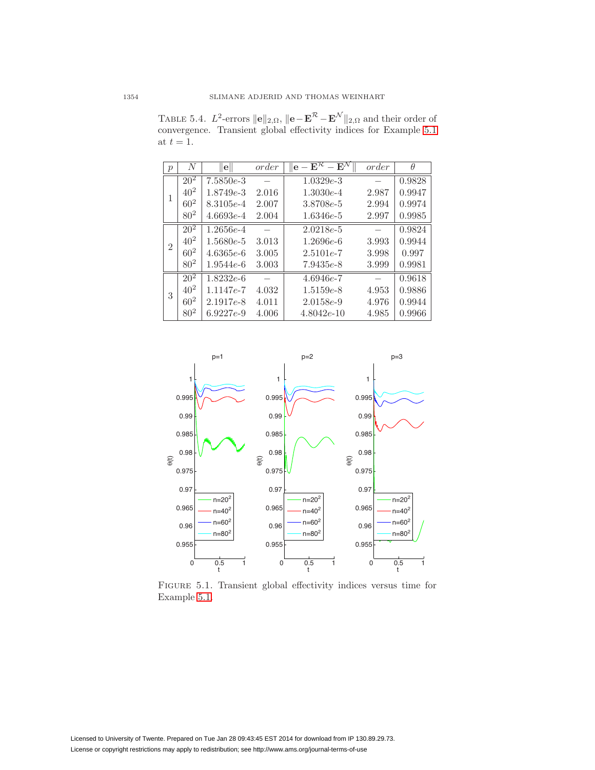<span id="page-19-0"></span>TABLE 5.4.  $L^2$ -errors  $\|\mathbf{e}\|_{2,\Omega}$ ,  $\|\mathbf{e}-\mathbf{E}^{\mathcal{R}}-\mathbf{E}^{\mathcal{N}}\|_{2,\Omega}$  and their order of convergence. Transient global effectivity indices for Example [5.1](#page-16-3) at  $t = 1$ .

| $\mathcal{p}$  | N               | $\mathbf{e}$  | order | $\mathrm{e-E}^{\mathcal{R}}$<br>$ \mathbf{E}^{\Lambda}$ | order | $\theta$ |
|----------------|-----------------|---------------|-------|---------------------------------------------------------|-------|----------|
|                | $20^{2}$        | $7.5850e-3$   |       | $1.0329e-3$                                             |       | 0.9828   |
| 1              | $40^{2}$        | $1.8749e - 3$ | 2.016 | $1.3030e-4$                                             | 2.987 | 0.9947   |
|                | $60^{2}$        | 8.3105e-4     | 2.007 | 3.8708e-5                                               | 2.994 | 0.9974   |
|                | 80 <sup>2</sup> | $4.6693e-4$   | 2.004 | $1.6346e-5$                                             | 2.997 | 0.9985   |
|                | $20^{2}$        | $1.2656e-4$   |       | $2.0218e-5$                                             |       | 0.9824   |
| $\overline{2}$ | $40^{2}$        | $1.5680e-5$   | 3.013 | $1.2696e-6$                                             | 3.993 | 0.9944   |
|                | $60^{2}$        | $4.6365e-6$   | 3.005 | $2.5101e-7$                                             | 3.998 | 0.997    |
|                | 80 <sup>2</sup> | $1.9544e-6$   | 3.003 | $7.9435e-8$                                             | 3.999 | 0.9981   |
|                | $20^{2}$        | $1.8232e-6$   |       | $4.6946e-7$                                             |       | 0.9618   |
| 3              | $40^{2}$        | 1.1147e-7     | 4.032 | $1.5159e-8$                                             | 4.953 | 0.9886   |
|                | $60^{2}$        | $2.1917e-8$   | 4.011 | $2.0158e-9$                                             | 4.976 | 0.9944   |
|                | $80^{2}$        | $6.9227e-9$   | 4.006 | $4.8042e-10$                                            | 4.985 | 0.9966   |



<span id="page-19-1"></span>Figure 5.1. Transient global effectivity indices versus time for Example [5.1.](#page-16-3)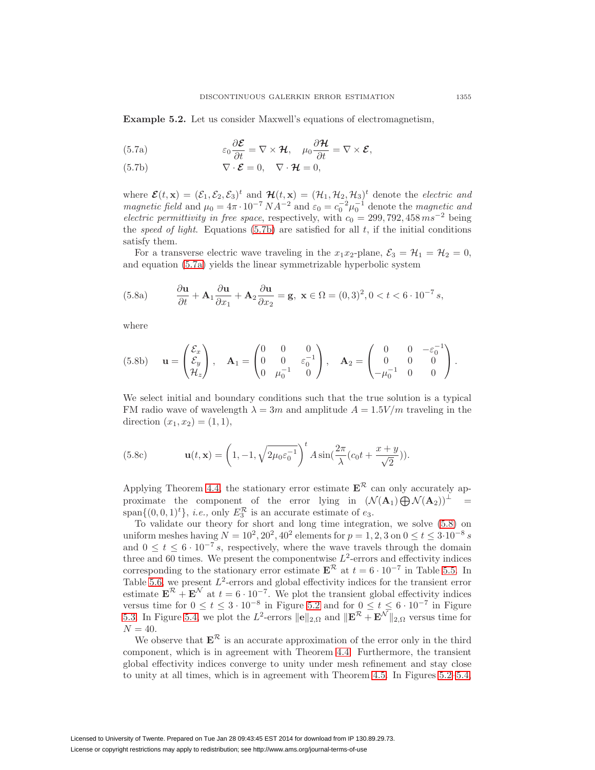<span id="page-20-3"></span>**Example 5.2.** Let us consider Maxwell's equations of electromagnetism,

<span id="page-20-1"></span>(5.7a) 
$$
\varepsilon_0 \frac{\partial \mathcal{E}}{\partial t} = \nabla \times \mathcal{H}, \quad \mu_0 \frac{\partial \mathcal{H}}{\partial t} = \nabla \times \mathcal{E},
$$

<span id="page-20-0"></span>(5.7b) 
$$
\nabla \cdot \boldsymbol{\mathcal{E}} = 0, \quad \nabla \cdot \boldsymbol{\mathcal{H}} = 0,
$$

where  $\mathcal{E}(t, \mathbf{x})=(\mathcal{E}_1, \mathcal{E}_2, \mathcal{E}_3)^t$  and  $\mathcal{H}(t, \mathbf{x})=(\mathcal{H}_1, \mathcal{H}_2, \mathcal{H}_3)^t$  denote the *electric and* magnetic field and  $\mu_0 = 4\pi \cdot 10^{-7} N A^{-2}$  and  $\varepsilon_0 = c_0^{-2} \mu_0^{-1}$  denote the magnetic and electric permittivity in free space, respectively, with  $c_0 = 299, 792, 458 \text{ ms}^{-2}$  being the speed of light. Equations [\(5.7b\)](#page-20-0) are satisfied for all  $t$ , if the initial conditions satisfy them.

For a transverse electric wave traveling in the  $x_1x_2$ -plane,  $\mathcal{E}_3 = \mathcal{H}_1 = \mathcal{H}_2 = 0$ , and equation [\(5.7a\)](#page-20-1) yields the linear symmetrizable hyperbolic system

(5.8a) 
$$
\frac{\partial \mathbf{u}}{\partial t} + \mathbf{A}_1 \frac{\partial \mathbf{u}}{\partial x_1} + \mathbf{A}_2 \frac{\partial \mathbf{u}}{\partial x_2} = \mathbf{g}, \ \mathbf{x} \in \Omega = (0,3)^2, 0 < t < 6 \cdot 10^{-7} \ s,
$$

where

(5.8b) 
$$
\mathbf{u} = \begin{pmatrix} \mathcal{E}_x \\ \mathcal{E}_y \\ \mathcal{H}_z \end{pmatrix}, \quad \mathbf{A}_1 = \begin{pmatrix} 0 & 0 & 0 \\ 0 & 0 & \varepsilon_0^{-1} \\ 0 & \mu_0^{-1} & 0 \end{pmatrix}, \quad \mathbf{A}_2 = \begin{pmatrix} 0 & 0 & -\varepsilon_0^{-1} \\ 0 & 0 & 0 \\ -\mu_0^{-1} & 0 & 0 \end{pmatrix}.
$$

We select initial and boundary conditions such that the true solution is a typical FM radio wave of wavelength  $\lambda = 3m$  and amplitude  $A = 1.5V/m$  traveling in the direction  $(x_1, x_2) = (1, 1),$ 

(5.8c) 
$$
\mathbf{u}(t, \mathbf{x}) = \left(1, -1, \sqrt{2\mu_0 \varepsilon_0^{-1}}\right)^t A \sin(\frac{2\pi}{\lambda} (c_0 t + \frac{x+y}{\sqrt{2}})).
$$

Applying Theorem [4.4,](#page-12-8) the stationary error estimate  $\mathbf{E}^{\mathcal{R}}$  can only accurately approximate the component of the error lying in  $(\mathcal{N}(\mathbf{A}_1) \bigoplus \mathcal{N}(\mathbf{A}_2))^{\perp}$  = span $\{(0,0,1)<sup>t</sup>\}, i.e.,$  only  $E_3^{\mathcal{R}}$  is an accurate estimate of  $e_3$ .

To validate our theory for short and long time integration, we solve [\(5.8\)](#page-20-2) on uniform meshes having  $N = 10^2, 20^2, 40^2$  elements for  $p = 1, 2, 3$  on  $0 \le t \le 3.10^{-8}$  s and  $0 \le t \le 6 \cdot 10^{-7} s$ , respectively, where the wave travels through the domain three and 60 times. We present the componentwise  $L^2$ -errors and effectivity indices corresponding to the stationary error estimate  $\mathbf{E}^{\mathcal{R}}$  at  $t = 6 \cdot 10^{-7}$  in Table [5.5.](#page-21-0) In Table [5.6,](#page-22-0) we present  $L^2$ -errors and global effectivity indices for the transient error estimate  $\mathbf{E}^{\mathcal{R}} + \mathbf{E}^{\mathcal{N}}$  at  $t = 6 \cdot 10^{-7}$ . We plot the transient global effectivity indices versus time for  $0 \le t \le 3 \cdot 10^{-8}$  in Figure [5.2](#page-22-1) and for  $0 \le t \le 6 \cdot 10^{-7}$  in Figure [5.3.](#page-23-0) In Figure [5.4,](#page-23-1) we plot the  $L^2$ -errors  $\|\mathbf{e}\|_{2,\Omega}$  and  $\|\mathbf{E}^{\mathcal{R}}+\mathbf{E}^{\mathcal{N}}\|_{2,\Omega}$  versus time for  $N = 40.$ 

We observe that  $\mathbf{E}^{\mathcal{R}}$  is an accurate approximation of the error only in the third component, which is in agreement with Theorem [4.4.](#page-12-8) Furthermore, the transient global effectivity indices converge to unity under mesh refinement and stay close to unity at all times, which is in agreement with Theorem [4.5.](#page-15-4) In Figures [5.2–](#page-22-1)[5.4,](#page-23-1)

<span id="page-20-2"></span>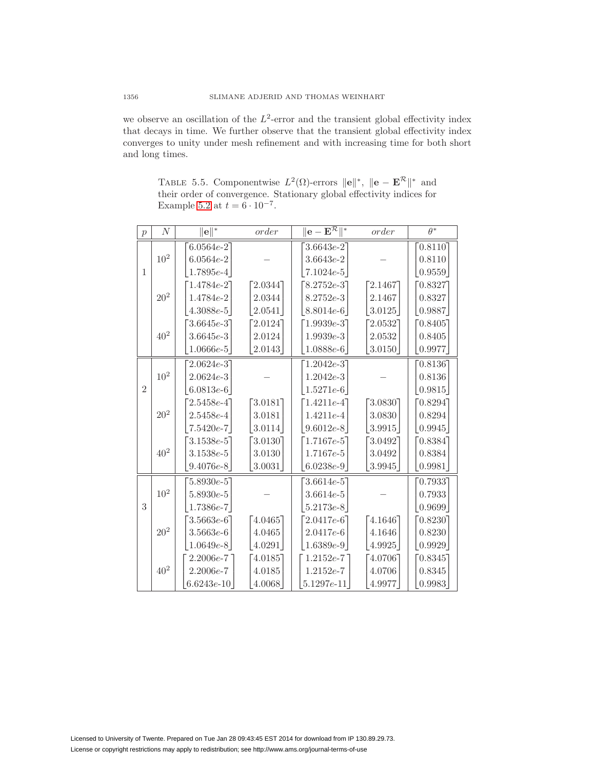we observe an oscillation of the  $L^2$ -error and the transient global effectivity index that decays in time. We further observe that the transient global effectivity index converges to unity under mesh refinement and with increasing time for both short and long times.

<span id="page-21-0"></span>TABLE 5.5. Componentwise  $L^2(\Omega)$ -errors  $\|\mathbf{e}\|^*, \|\mathbf{e} - \mathbf{E}^{\mathcal{R}}\|^*$  and their order of convergence. Stationary global effectivity indices for Example [5.2](#page-20-3) at  $t = 6 \cdot 10^{-7}$ .

| $\mathcal{p}$  | $\,N$           | $\ \mathbf{e}\ ^*$ | order      | $ \textbf{e}-\textbf{E}^{\mathcal{R}}\ ^*$ | order  | $\theta^*$ |
|----------------|-----------------|--------------------|------------|--------------------------------------------|--------|------------|
|                |                 | $6.0564e-2$        |            | $3.6643e-2$                                |        | [0.8110]   |
|                | $10^2\,$        | $6.0564e-2$        |            | $3.6643e-2$                                |        | 0.8110     |
| 1              |                 | $1.7895e-4$        |            | $7.1024e-5$                                |        | 0.9559     |
|                |                 | $[1.4784e-2]$      | 2.0344     | $8.2752e-3$                                | 2.1467 | 0.8327     |
|                | $20^{2}$        | 1.4784e-2          | 2.0344     | $8.2752e-3$                                | 2.1467 | 0.8327     |
|                |                 | $4.3088e-5$        | 2.0541     | $8.8014e-6$                                | 3.0125 | 0.9887     |
|                |                 | $3.6645e-3$        | $2.0124$ ] | $[1.9939e-3]$                              | 2.0532 | [0.8405]   |
|                | $40^2\,$        | $3.6645e - 3$      | 2.0124     | $1.9939e-3$                                | 2.0532 | 0.8405     |
|                |                 | $1.0666e-5$        | 2.0143     | $1.0888e-6$                                | 3.0150 | 0.9977     |
|                |                 | $2.0624e-3$        |            | $1.2042e-3$                                |        | [0.8136]   |
|                | 10 <sup>2</sup> | $2.0624e - 3$      |            | $1.2042e-3$                                |        | 0.8136     |
| $\overline{2}$ |                 | $6.0813e-6$        |            | $1.5271e-6$                                |        | 0.9815     |
|                |                 | $2.5458e-4$        | $3.0181$ ] | $1.4211e-4$                                | 3.0830 | 0.8294     |
|                | $20^{2}$        | $2.5458e - 4$      | 3.0181     | $1.4211e-4$                                | 3.0830 | 0.8294     |
|                |                 | $7.5420e-7$        | 3.0114     | $9.6012e-8$                                | 3.9915 | 0.9945     |
|                |                 | $3.1538e-5$        | 3.0130     | $[1.7167e-5]$                              | 3.0492 | 0.8384     |
|                | $40^2\,$        | $3.1538e-5$        | 3.0130     | $1.7167e-5$                                | 3.0492 | 0.8384     |
|                |                 | $9.4076e-8$        | 3.0031     | $6.0238e-9$                                | 3.9945 | 0.9981     |
|                |                 | $5.8930e-5$        |            | $3.6614e-5$                                |        | 0.7933     |
|                | $10^{2}$        | $5.8930e-5$        |            | $3.6614e-5$                                |        | 0.7933     |
| 3              |                 | $1.7386e-7$        |            | $5.2173e-8$                                |        | 0.9699     |
|                |                 | $3.5663e-6$        | 4.0465     | $[2.0417e-6]$                              | 4.1646 | [0.8230]   |
|                | $20^2\,$        | $3.5663e-6$        | 4.0465     | $2.0417e-6$                                | 4.1646 | 0.8230     |
|                |                 | $1.0649e-8$        | 4.0291     | $ 1.6389e-9 $                              | 4.9925 | 0.9929     |
|                |                 | 2.2006e-7          | 4.0185     | $1.2152e-7$                                | 4.0706 | 0.8345     |
|                | $40^2\,$        | $2.2006e-7$        | 4.0185     | $1.2152e-7$                                | 4.0706 | 0.8345     |
|                |                 | $6.6243e-10$       | 4.0068     | $5.1297e-11$                               | 4.9977 | 0.9983     |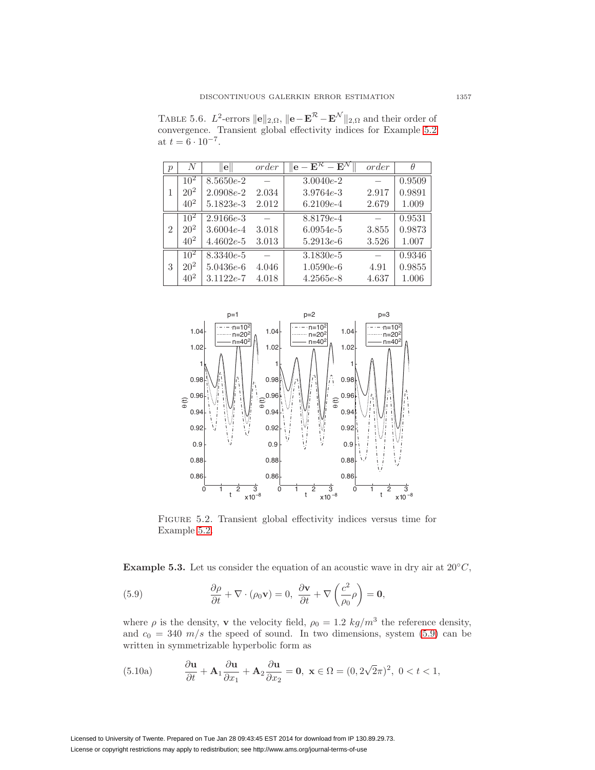<span id="page-22-0"></span>TABLE 5.6.  $L^2$ -errors  $\|\mathbf{e}\|_{2,\Omega}$ ,  $\|\mathbf{e}-\mathbf{E}^{\mathcal{R}}-\mathbf{E}^{\mathcal{N}}\|_{2,\Omega}$  and their order of convergence. Transient global effectivity indices for Example [5.2](#page-20-3) at  $t = 6 \cdot 10^{-7}$ .

| $\mathcal{p}$  | N        | $\left\vert \mathbf{e}\right\vert$ | order | $\mathbf{e}-\overline{\mathbf{E}^{\mathcal{R}}-\mathbf{E}^{\mathcal{N}}}$ | order | $\theta$ |
|----------------|----------|------------------------------------|-------|---------------------------------------------------------------------------|-------|----------|
|                | $10^{2}$ | $8.5650e-2$                        |       | $3.0040e-2$                                                               |       | 0.9509   |
| 1              | $20^{2}$ | $2.0908e-2$                        | 2.034 | $3.9764e - 3$                                                             | 2.917 | 0.9891   |
|                | $40^{2}$ | $5.1823e-3$                        | 2.012 | $6.2109e-4$                                                               | 2.679 | 1.009    |
|                | $10^{2}$ | $2.9166e - 3$                      |       | 8.8179e-4                                                                 |       | 0.9531   |
| $\overline{2}$ | $20^{2}$ | $3.6004e-4$                        | 3.018 | $6.0954e-5$                                                               | 3.855 | 0.9873   |
|                | $40^{2}$ | $4.4602e-5$                        | 3.013 | $5.2913e-6$                                                               | 3.526 | 1.007    |
|                | $10^{2}$ | $8.3340e-5$                        |       | $3.1830e-5$                                                               |       | 0.9346   |
| 3              | $20^{2}$ | $5.0436e-6$                        | 4.046 | $1.0590e-6$                                                               | 4.91  | 0.9855   |
|                | $40^{2}$ | $3.1122e-7$                        | 4.018 | $4.2565e-8$                                                               | 4.637 | 1.006    |



<span id="page-22-1"></span>Figure 5.2. Transient global effectivity indices versus time for Example [5.2.](#page-20-3)

<span id="page-22-3"></span>**Example 5.3.** Let us consider the equation of an acoustic wave in dry air at  $20^{\circ}C$ ,

<span id="page-22-2"></span>(5.9) 
$$
\frac{\partial \rho}{\partial t} + \nabla \cdot (\rho_0 \mathbf{v}) = 0, \frac{\partial \mathbf{v}}{\partial t} + \nabla \left(\frac{c^2}{\rho_0} \rho\right) = \mathbf{0},
$$

where  $\rho$  is the density, **v** the velocity field,  $\rho_0 = 1.2 \ kg/m^3$  the reference density, and  $c_0 = 340 \frac{m}{s}$  the speed of sound. In two dimensions, system [\(5.9\)](#page-22-2) can be written in symmetrizable hyperbolic form as

<span id="page-22-4"></span>(5.10a) 
$$
\frac{\partial \mathbf{u}}{\partial t} + \mathbf{A}_1 \frac{\partial \mathbf{u}}{\partial x_1} + \mathbf{A}_2 \frac{\partial \mathbf{u}}{\partial x_2} = \mathbf{0}, \ \mathbf{x} \in \Omega = (0, 2\sqrt{2}\pi)^2, \ 0 < t < 1,
$$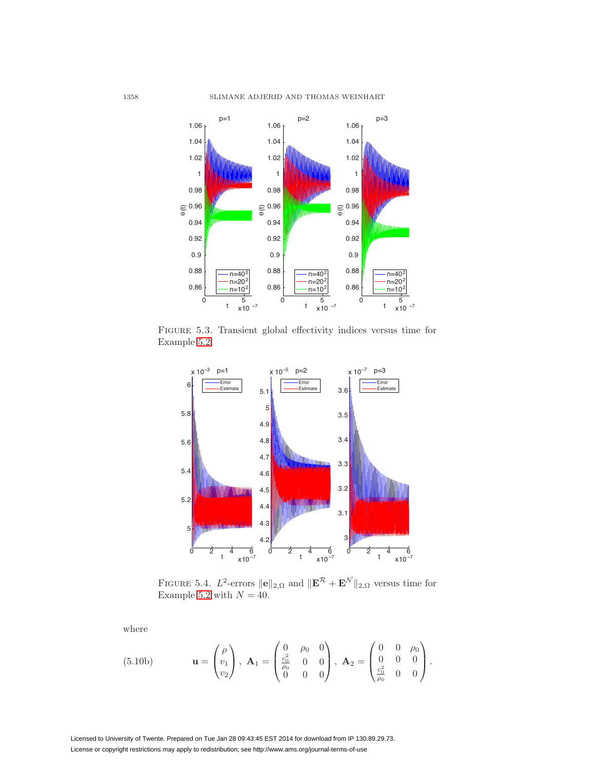

Figure 5.3. Transient global effectivity indices versus time for Example [5.2.](#page-20-3)

<span id="page-23-0"></span>

<span id="page-23-1"></span>FIGURE 5.4.  $L^2$ -errors  $\|\mathbf{e}\|_{2,\Omega}$  and  $\|\mathbf{E}^{\mathcal{R}}+\mathbf{E}^{\mathcal{N}}\|_{2,\Omega}$  versus time for Example [5.2](#page-20-3) with  $N = 40$ .

where

(5.10b) 
$$
\mathbf{u} = \begin{pmatrix} \rho \\ v_1 \\ v_2 \end{pmatrix}, \ \mathbf{A}_1 = \begin{pmatrix} 0 & \rho_0 & 0 \\ \frac{c_0^2}{\rho_0} & 0 & 0 \\ 0 & 0 & 0 \end{pmatrix}, \ \mathbf{A}_2 = \begin{pmatrix} 0 & 0 & \rho_0 \\ 0 & 0 & 0 \\ \frac{c_0^2}{\rho_0} & 0 & 0 \end{pmatrix}.
$$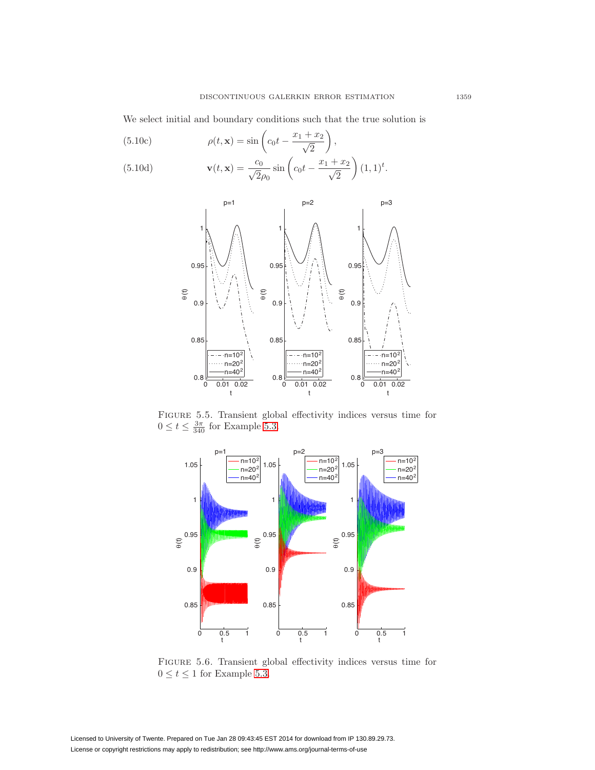We select initial and boundary conditions such that the true solution is

(5.10c)  
\n
$$
\rho(t, \mathbf{x}) = \sin\left(c_0 t - \frac{x_1 + x_2}{\sqrt{2}}\right),
$$
\n
$$
\mathbf{v}(t, \mathbf{x}) = \frac{c_0}{\sqrt{2}} \sin\left(c_0 t - \frac{x_1 + x_2}{\sqrt{2}}\right)
$$

(5.10d) 
$$
\mathbf{v}(t, \mathbf{x}) = \frac{c_0}{\sqrt{2}\rho_0} \sin\left(c_0 t - \frac{x_1 + x_2}{\sqrt{2}}\right) (1, 1)^t.
$$



Figure 5.5. Transient global effectivity indices versus time for  $0 \le t \le \frac{3\pi}{340}$  for Example [5.3.](#page-22-3)

<span id="page-24-0"></span>

<span id="page-24-1"></span>Figure 5.6. Transient global effectivity indices versus time for  $0 \leq t \leq 1$  for Example [5.3.](#page-22-3)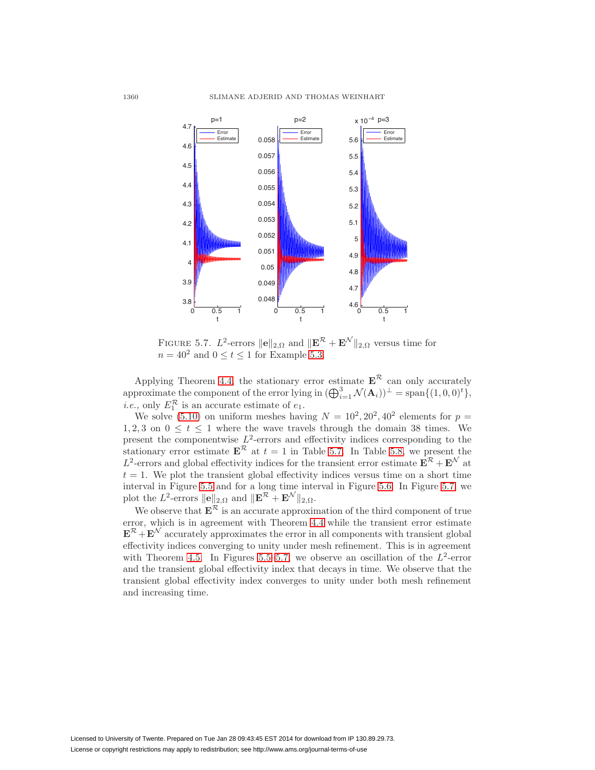

<span id="page-25-0"></span>FIGURE 5.7. L<sup>2</sup>-errors  $\|\mathbf{e}\|_{2,\Omega}$  and  $\|\mathbf{E}^{\mathcal{R}}+\mathbf{E}^{\mathcal{N}}\|_{2,\Omega}$  versus time for  $n = 40^2$  and  $0 \le t \le 1$  for Example [5.3.](#page-22-3)

Applying Theorem [4.4,](#page-12-8) the stationary error estimate  $\mathbf{E}^{\mathcal{R}}$  can only accurately approximate the component of the error lying in  $(\bigoplus_{i=1}^{3} \mathcal{N}(\mathbf{A}_i))^{\perp} = \text{span}\{(1,0,0)^{t}\},$ *i.e.*, only  $E_1^{\mathcal{R}}$  is an accurate estimate of  $e_1$ .

We solve [\(5.10\)](#page-22-4) on uniform meshes having  $N = 10^2, 20^2, 40^2$  elements for  $p =$ 1, 2, 3 on  $0 \le t \le 1$  where the wave travels through the domain 38 times. We present the componentwise  $L^2$ -errors and effectivity indices corresponding to the stationary error estimate  $\mathbf{E}^{\mathcal{R}}$  at  $t = 1$  in Table [5.7.](#page-26-0) In Table [5.8,](#page-26-1) we present the L<sup>2</sup>-errors and global effectivity indices for the transient error estimate  $\mathbf{E}^R + \mathbf{E}^N$  at  $t = 1$ . We plot the transient global effectivity indices versus time on a short time interval in Figure [5.5](#page-24-0) and for a long time interval in Figure [5.6.](#page-24-1) In Figure [5.7,](#page-25-0) we plot the  $L^2$ -errors  $\|\mathbf{e}\|_{2,\Omega}$  and  $\|\mathbf{E}^{\mathcal{R}} + \mathbf{E}^{\mathcal{N}}\|_{2,\Omega}$ .

We observe that  $E^k$  is an accurate approximation of the third component of true error, which is in agreement with Theorem [4.4](#page-12-8) while the transient error estimate  $\mathbf{E}^{\mathcal{R}} + \mathbf{E}^{\mathcal{N}}$  accurately approximates the error in all components with transient global effectivity indices converging to unity under mesh refinement. This is in agreement with Theorem [4.5.](#page-15-4) In Figures [5.5–](#page-24-0)[5.7,](#page-25-0) we observe an oscillation of the  $L^2$ -error and the transient global effectivity index that decays in time. We observe that the transient global effectivity index converges to unity under both mesh refinement and increasing time.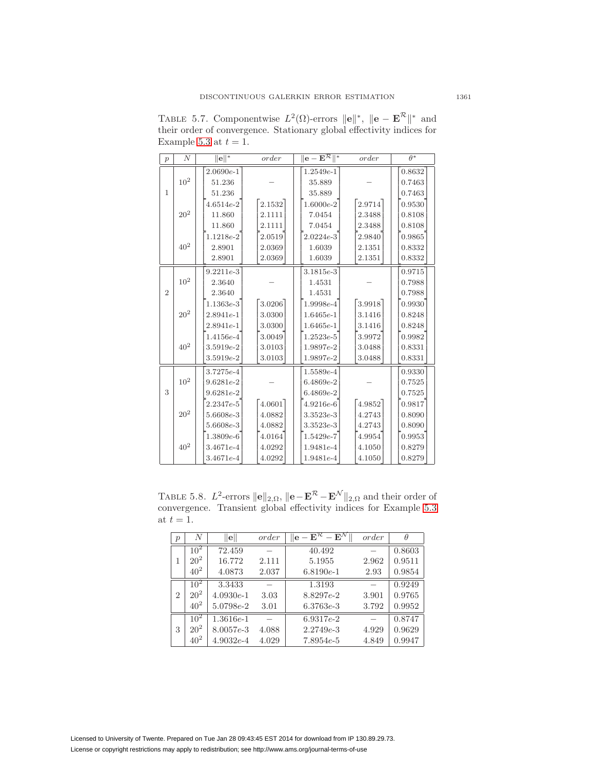| $\overline{p}$ | $\boldsymbol{N}$ | $\ \mathbf{e}\ ^*$ | order  | $\ {\bf e}-\overline{{\bf E}^{\mathcal{R}}}\ ^*$ | order  | $\theta^*$ |
|----------------|------------------|--------------------|--------|--------------------------------------------------|--------|------------|
|                |                  | $2.0690e-1$        |        | $1.2549e-1$                                      |        | 0.8632     |
|                | 10 <sup>2</sup>  |                    |        |                                                  |        |            |
|                |                  | 51.236             |        | 35.889                                           |        | 0.7463     |
| $\mathbf{1}$   |                  | 51.236             |        | 35.889                                           |        | 0.7463     |
|                |                  | $4.6514e-2$        | 2.1532 | $1.6000e-2$                                      | 2.9714 | 0.9530     |
|                | $20^2\,$         | 11.860             | 2.1111 | 7.0454                                           | 2.3488 | 0.8108     |
|                |                  | 11.860             | 2.1111 | 7.0454                                           | 2.3488 | 0.8108     |
|                |                  | $1.1218e-2$        | 2.0519 | $2.0224e-3$                                      | 2.9840 | 0.9865     |
|                | $40^2\,$         | 2.8901             | 2.0369 | 1.6039                                           | 2.1351 | 0.8332     |
|                |                  | 2.8901             | 2.0369 | 1.6039                                           | 2.1351 | 0.8332     |
|                |                  | $9.2211e-3$        |        | $3.1815e-3$                                      |        | 0.9715     |
|                | $10^2\,$         | 2.3640             |        | 1.4531                                           |        | 0.7988     |
| $\overline{2}$ |                  | 2.3640             |        | 1.4531                                           |        | 0.7988     |
|                |                  | $1.1363e-3$        | 3.0206 | 1.9998e-4                                        | 3.9918 | 0.9930     |
|                | $20^2\,$         | $2.8941e-1$        | 3.0300 | $1.6465e-1$                                      | 3.1416 | 0.8248     |
|                |                  | $2.8941e-1$        | 3.0300 | $1.6465e-1$                                      | 3.1416 | 0.8248     |
|                |                  | $1.4156e - 4$      | 3.0049 | $1.2523e-5$                                      | 3.9972 | 0.9982     |
|                | $40^2\,$         | $3.5919e-2$        | 3.0103 | 1.9897e-2                                        | 3.0488 | 0.8331     |
|                |                  | $3.5919e-2$        | 3.0103 | $1.9897e-2$                                      | 3.0488 | 0.8331     |
|                |                  | 3.7275e-4          |        | $1.5589e - 4$                                    |        | 0.9330     |
|                | $10^2\,$         | $9.6281e-2$        |        | $6.4869e-2$                                      |        | 0.7525     |
| 3              |                  | $9.6281e-2$        |        | $6.4869e-2$                                      |        | 0.7525     |
|                |                  | $2.2347e-5$        | 4.0601 | $4.9216e-6$                                      | 4.9852 | 0.9817     |
|                | $20^2\,$         | $5.6608e - 3$      | 4.0882 | $3.3523e-3$                                      | 4.2743 | 0.8090     |
|                |                  | $5.6608e - 3$      | 4.0882 | $3.3523e-3$                                      | 4.2743 | 0.8090     |
|                |                  | $1.3809e-6$        | 4.0164 | $1.5429e-7$                                      | 4.9954 | 0.9953     |
|                | $40^2\,$         | $3.4671e-4$        | 4.0292 | $1.9481e-4$                                      | 4.1050 | 0.8279     |
|                |                  | $3.4671e - 4$      | 4.0292 | $1.9481e-4$                                      | 4.1050 | 0.8279     |

<span id="page-26-0"></span>TABLE 5.7. Componentwise  $L^2(\Omega)$ -errors  $\|\mathbf{e}\|^*, \|\mathbf{e} - \mathbf{E}^{\mathcal{R}}\|^*$  and their order of convergence. Stationary global effectivity indices for Example [5.3](#page-22-3) at  $t = 1$ .

TABLE 5.8. L<sup>2</sup>-errors  $\|\mathbf{e}\|_{2,\Omega}$ ,  $\|\mathbf{e}-\mathbf{E}^{\mathcal{R}}-\mathbf{E}^{\mathcal{N}}\|_{2,\Omega}$  and their order of convergence. Transient global effectivity indices for Example [5.3](#page-22-3) at  $t = 1$ .

<span id="page-26-1"></span>

| $\boldsymbol{p}$ | N        | $\ {\bf e}\ $ | order | $\mathbf{E}^{\mathcal{R}} - \mathbf{E}^{\mathcal{N}}$ | order | θ      |
|------------------|----------|---------------|-------|-------------------------------------------------------|-------|--------|
|                  | $10^{2}$ | 72.459        |       | 40.492                                                |       | 0.8603 |
| 1                | $20^{2}$ | 16.772        | 2.111 | 5.1955                                                | 2.962 | 0.9511 |
|                  | $40^{2}$ | 4.0873        | 2.037 | $6.8190e-1$                                           | 2.93  | 0.9854 |
|                  | $10^{2}$ | 3.3433        |       | 1.3193                                                |       | 0.9249 |
| $\overline{2}$   | $20^{2}$ | $4.0930e-1$   | 3.03  | 8.8297e-2                                             | 3.901 | 0.9765 |
|                  | $40^{2}$ | $5.0798e-2$   | 3.01  | $6.3763e-3$                                           | 3.792 | 0.9952 |
|                  | $10^{2}$ | $1.3616e-1$   |       | $6.9317e-2$                                           |       | 0.8747 |
| 3                | $20^{2}$ | $8.0057e-3$   | 4.088 | $2.2749e - 3$                                         | 4.929 | 0.9629 |
|                  | $40^{2}$ | $4.9032e-4$   | 4.029 | $7.8954e-5$                                           | 4.849 | 0.9947 |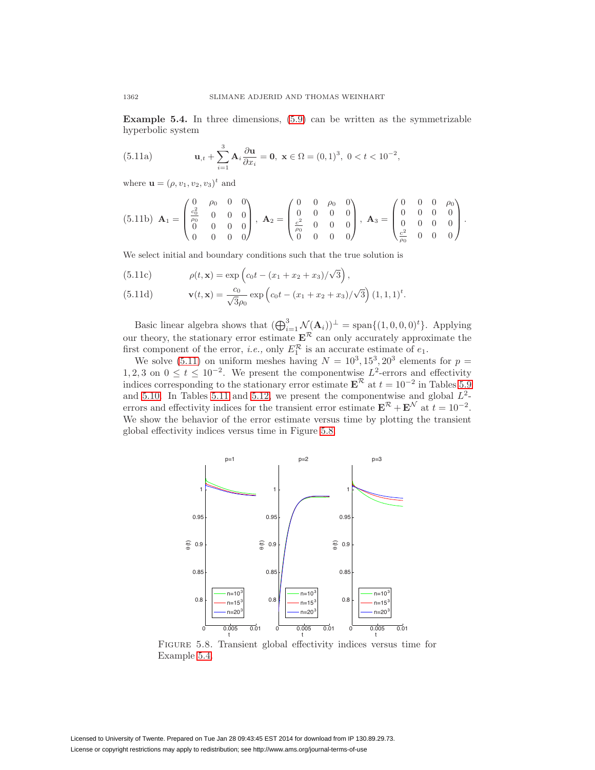<span id="page-27-2"></span><span id="page-27-0"></span>**Example 5.4.** In three dimensions, [\(5.9\)](#page-22-2) can be written as the symmetrizable hyperbolic system

(5.11a) 
$$
\mathbf{u}_{,t} + \sum_{i=1}^{3} \mathbf{A}_i \frac{\partial \mathbf{u}}{\partial x_i} = \mathbf{0}, \ \mathbf{x} \in \Omega = (0,1)^3, \ 0 < t < 10^{-2},
$$

where **u** =  $(\rho, v_1, v_2, v_3)^t$  and

$$
(5.11b) \mathbf{A}_1 = \begin{pmatrix} 0 & \rho_0 & 0 & 0 \\ \frac{c_0^2}{\rho_0} & 0 & 0 & 0 \\ 0 & 0 & 0 & 0 \\ 0 & 0 & 0 & 0 \end{pmatrix}, \mathbf{A}_2 = \begin{pmatrix} 0 & 0 & \rho_0 & 0 \\ 0 & 0 & 0 & 0 \\ \frac{c^2}{\rho_0} & 0 & 0 & 0 \\ 0 & 0 & 0 & 0 \end{pmatrix}, \mathbf{A}_3 = \begin{pmatrix} 0 & 0 & 0 & \rho_0 \\ 0 & 0 & 0 & 0 \\ 0 & 0 & 0 & 0 \\ \frac{c^2}{\rho_0} & 0 & 0 & 0 \end{pmatrix}.
$$

We select initial and boundary conditions such that the true solution is

(5.11c) 
$$
\rho(t, \mathbf{x}) = \exp\left(c_0 t - (x_1 + x_2 + x_3)/\sqrt{3}\right),
$$

(5.11d) 
$$
\mathbf{v}(t, \mathbf{x}) = \frac{c_0}{\sqrt{3}\rho_0} \exp\left(c_0 t - (x_1 + x_2 + x_3)/\sqrt{3}\right) (1, 1, 1)^t.
$$

Basic linear algebra shows that  $(\bigoplus_{i=1}^{3} \mathcal{N}(\mathbf{A}_i))^{\perp} = \text{span}\{(1,0,0,0)^{t}\}\.$  Applying our theory, the stationary error estimate  $\mathbf{E}^{\mathcal{R}}$  can only accurately approximate the first component of the error, *i.e.*, only  $E_1^{\mathcal{R}}$  is an accurate estimate of  $e_1$ .

We solve [\(5.11\)](#page-27-0) on uniform meshes having  $N = 10^3, 15^3, 20^3$  elements for  $p =$ 1, 2, 3 on  $0 \le t \le 10^{-2}$ . We present the componentwise  $L^2$ -errors and effectivity indices corresponding to the stationary error estimate  $\mathbf{E}^{\mathcal{R}}$  at  $t = 10^{-2}$  in Tables [5.9](#page-28-0) and [5.10.](#page-29-0) In Tables [5.11](#page-29-1) and [5.12,](#page-30-1) we present the componentwise and global  $L^2$ errors and effectivity indices for the transient error estimate  $\mathbf{E}^{\mathcal{R}} + \mathbf{E}^{\mathcal{N}}$  at  $t = 10^{-2}$ . We show the behavior of the error estimate versus time by plotting the transient global effectivity indices versus time in Figure [5.8.](#page-27-1)



<span id="page-27-1"></span>Figure 5.8. Transient global effectivity indices versus time for Example [5.4.](#page-27-2)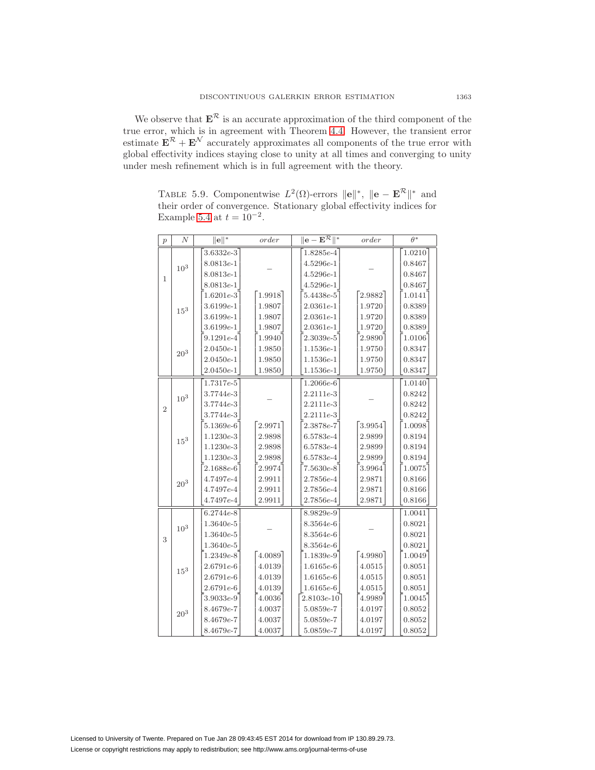We observe that  $E^k$  is an accurate approximation of the third component of the true error, which is in agreement with Theorem [4.4.](#page-12-8) However, the transient error estimate  $\mathbf{E}^R + \mathbf{E}^N$  accurately approximates all components of the true error with global effectivity indices staying close to unity at all times and converging to unity under mesh refinement which is in full agreement with the theory.

<span id="page-28-0"></span>TABLE 5.9. Componentwise  $L^2(\Omega)$ -errors  $\|\mathbf{e}\|^*, \|\mathbf{e} - \mathbf{E}^{\mathcal{R}}\|^*$  and their order of convergence. Stationary global effectivity indices for Example [5.4](#page-27-2) at  $t = 10^{-2}$ .

| $\overline{p}$ | N               | $\ \mathbf{e}\ ^*$ | order  | $\ {\bf e}-{\bf E}^{\mathcal{H}}\ ^*$ | order  | $\theta^*$ |
|----------------|-----------------|--------------------|--------|---------------------------------------|--------|------------|
|                |                 | $3.6332e-3$        |        | 1.8285e-4                             |        | 1.0210     |
|                | 10 <sup>3</sup> | $8.0813e-1$        |        | $4.5296e-1$                           |        | 0.8467     |
| 1              |                 | $8.0813e-1$        |        | $4.5296e-1$                           |        | 0.8467     |
|                |                 | $8.0813e-1$        |        | $4.5296e-1$                           |        | 0.8467     |
|                |                 | $1.6201e-3$        | 1.9918 | $5.4438e-5$                           | 2.9882 | 1.0141     |
|                | $15^{3}$        | $3.6199e-1$        | 1.9807 | $2.0361e-1$                           | 1.9720 | 0.8389     |
|                |                 | $3.6199e-1$        | 1.9807 | $2.0361e-1$                           | 1.9720 | 0.8389     |
|                |                 | $3.6199e-1$        | 1.9807 | $2.0361e-1$                           | 1.9720 | 0.8389     |
|                |                 | $9.1291e-4$        | 1.9940 | $2.3039e-5$                           | 2.9890 | 1.0106     |
|                | $20^3\,$        | $2.0450e-1$        | 1.9850 | $1.1536e-1$                           | 1.9750 | 0.8347     |
|                |                 | $2.0450e-1$        | 1.9850 | $1.1536e-1$                           | 1.9750 | 0.8347     |
|                |                 | $2.0450e-1$        | 1.9850 | $1.1536e-1$                           | 1.9750 | 0.8347     |
|                |                 | $1.7317e-5$        |        | $1.2066e-6$                           |        | 1.0140     |
|                | $10^{3}$        | $3.7744e-3$        |        | $2.2111e-3$                           |        | 0.8242     |
| $\overline{2}$ |                 | $3.7744e-3$        |        | $2.2111e-3$                           |        | 0.8242     |
|                |                 | $3.7744e-3$        |        | $2.2111e-3$                           |        | 0.8242     |
|                |                 | $5.1369e-6$        | 2.9971 | $2.3878e-7$                           | 3.9954 | 1.0098     |
|                | $15^{3}$        | $1.1230e-3$        | 2.9898 | $6.5783e-4$                           | 2.9899 | 0.8194     |
|                |                 | $1.1230e-3$        | 2.9898 | $6.5783e-4$                           | 2.9899 | 0.8194     |
|                |                 | $1.1230e-3$        | 2.9898 | $6.5783e-4$                           | 2.9899 | 0.8194     |
|                |                 | $2.1688e-6$        | 2.9974 | $7.5630e-8$                           | 3.9964 | 1.0075     |
|                | $20^{3}$        | $4.7497e - 4$      | 2.9911 | $2.7856e - 4$                         | 2.9871 | 0.8166     |
|                |                 | $4.7497e - 4$      | 2.9911 | $2.7856e - 4$                         | 2.9871 | 0.8166     |
|                |                 | $4.7497e - 4$      | 2.9911 | $2.7856e - 4$                         | 2.9871 | 0.8166     |
|                |                 | $6.2744e-8$        |        | $8.9829e-9$                           |        | 1.0041     |
|                | $10^3\,$        | $1.3640e-5$        |        | $8.3564e-6$                           |        | 0.8021     |
| 3              |                 | $1.3640e-5$        |        | $8.3564e-6$                           |        | 0.8021     |
|                |                 | $1.3640e-5$        |        | $8.3564e-6$                           |        | 0.8021     |
|                |                 | $1.2349e-8$        | 4.0089 | $1.1839e-9$                           | 4.9980 | 1.0049     |
|                | 15 <sup>3</sup> | $2.6791e-6$        | 4.0139 | $1.6165e-6$                           | 4.0515 | 0.8051     |
|                |                 | $2.6791e-6$        | 4.0139 | $1.6165e-6$                           | 4.0515 | 0.8051     |
|                |                 | $2.6791e-6$        | 4.0139 | $1.6165e-6$                           | 4.0515 | 0.8051     |
|                |                 | $3.9033e-9$        | 4.0036 | $2.8103e-10$                          | 4.9989 | 1.0045     |
|                | $20^3\,$        | $8.4679e - 7$      | 4.0037 | $5.0859e-7$                           | 4.0197 | 0.8052     |
|                |                 | $8.4679e - 7$      | 4.0037 | $5.0859e-7$                           | 4.0197 | 0.8052     |
|                |                 | $8.4679e - 7$      | 4.0037 | $5.0859e-7$                           | 4.0197 | 0.8052     |

Licensed to University of Twente. Prepared on Tue Jan 28 09:43:45 EST 2014 for download from IP 130.89.29.73. License or copyright restrictions may apply to redistribution; see http://www.ams.org/journal-terms-of-use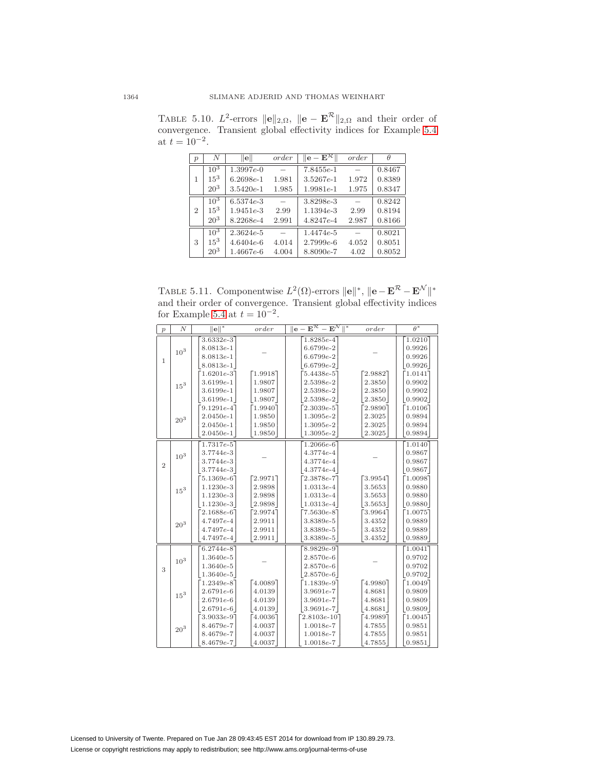<span id="page-29-0"></span>

| $\mathcal{p}$  | N               | $\ {\bf e}\ $ | order | $\  \mathbf{e} - \overline{\mathbf{E}^{\mathcal{R}}}\ $ | order | θ      |
|----------------|-----------------|---------------|-------|---------------------------------------------------------|-------|--------|
|                | $10^{3}$        | $1.3997e-0$   |       | $7.8455e-1$                                             |       | 0.8467 |
| 1              | $15^3$          | $6.2698e-1$   | 1.981 | $3.5267e-1$                                             | 1.972 | 0.8389 |
|                | $20^3$          | $3.5420e-1$   | 1.985 | $1.9981e-1$                                             | 1.975 | 0.8347 |
|                | $10^{3}$        | $6.5374e-3$   |       | 3.8298e-3                                               |       | 0.8242 |
| $\mathfrak{D}$ | $15^3$          | $1.9451e-3$   | 2.99  | $1.1394e-3$                                             | 2.99  | 0.8194 |
|                | $20^{3}$        | $8.2268e-4$   | 2.991 | 4.8247e-4                                               | 2.987 | 0.8166 |
|                | $10^{3}$        | $2.3624e-5$   |       | $1.4474e-5$                                             |       | 0.8021 |
| 3              | $15^3$          | $4.6404e-6$   | 4.014 | $2.7999e-6$                                             | 4.052 | 0.8051 |
|                | 20 <sup>3</sup> | $1.4667e-6$   | 4.004 | $8.8090e-7$                                             | 4.02  | 0.8052 |

TABLE 5.10.  $L^2$ -errors  $\|\mathbf{e}\|_{2,\Omega}$ ,  $\|\mathbf{e} - \mathbf{E}^{\mathcal{R}}\|_{2,\Omega}$  and their order of convergence. Transient global effectivity indices for Example [5.4](#page-27-2) at  $t = 10^{-2}$ .

<span id="page-29-1"></span>TABLE 5.11. Componentwise  $L^2(\Omega)$ -errors  $\|\mathbf{e}\|^*, \|\mathbf{e}-\mathbf{E}^{\mathcal{R}}-\mathbf{E}^{\mathcal{N}}\|^*$ and their order of convergence. Transient global effectivity indices for Example [5.4](#page-27-2) at  $t = 10^{-2}$ .

| $\boldsymbol{p}$ | $\boldsymbol{N}$ | $\ e\ ^*$                                                    | order                                   | $ \textbf{e}-\textbf{E}^{\mathcal{R}}-\textbf{E}^{\mathcal{N}} $ | order                                | $\overline{\theta^*}$                 |
|------------------|------------------|--------------------------------------------------------------|-----------------------------------------|------------------------------------------------------------------|--------------------------------------|---------------------------------------|
| $\mathbf{1}$     | $10^3\,$         | $3.6332e-3$<br>$8.0813e-1$<br>$8.0813e-1$<br>$8.0813e-1$     |                                         | $1.8285e-4$<br>$6.6799e-2$<br>$6.6799e-2$<br>$6.6799e-2$         |                                      | 1.0210<br>0.9926<br>0.9926<br>0.9926  |
|                  | $15^3\,$         | $1.6201e-3$<br>$3.6199e-1$<br>$3.6199e-1$<br>$3.6199e-1$     | [1.9918]<br>1.9807<br>1.9807<br>1.9807  | $5.4438e-5$<br>$2.5398e-2$<br>$2.5398e-2$<br>$2.5398e-2$         | 2.9882<br>2.3850<br>2.3850<br>2.3850 | 1.0141<br>0.9902<br>0.9902<br>0.9902  |
|                  | $20^{3}$         | $9.1291e-4$<br>$2.0450e-1$<br>$2.0450e-1$<br>$2.0450e-1$     | $-1.9940$<br>1.9850<br>1.9850<br>1.9850 | $2.3039e-5$<br>$1.3095e-2$<br>$1.3095e-2$<br>$1.3095e-2$         | 2.9890<br>2.3025<br>2.3025<br>2.3025 | 1.01067<br>0.9894<br>0.9894<br>0.9894 |
| $\overline{2}$   | 10 <sup>3</sup>  | 1.7317e-5<br>$3.7744e-3$<br>3.7744e-3<br>$3.7744e-3$         |                                         | $1.2066e-6$<br>$4.3774e - 4$<br>$4.3774e - 4$<br>$4.3774e - 4$   |                                      | 1.0140<br>0.9867<br>0.9867<br>0.9867  |
|                  | $15^3\,$         | $5.1369e-6$ ]<br>$1.1230e-3$<br>$1.1230e-3$<br>$1.1230e-3$   | [2.9971]<br>2.9898<br>2.9898<br>2.9898  | $2.3878e-7$<br>$1.0313e-4$<br>$1.0313e-4$<br>$1.0313e-4$         | 3.9954<br>3.5653<br>3.5653<br>3.5653 | 1.0098<br>0.9880<br>0.9880<br>0.9880  |
|                  | $20^3\,$         | $2.1688e-6$ ]<br>4.7497e-4<br>$4.7497e - 4$<br>$4.7497e - 4$ | 2.9974<br>2.9911<br>2.9911<br>2.9911    | $7.5630e-8$<br>$3.8389e - 5$<br>$3.8389e - 5$<br>$3.8389e - 5$   | 3.9964<br>3.4352<br>3.4352<br>3.4352 | 1.0075<br>0.9889<br>0.9889<br>0.9889  |
| 3                | $10^3\,$         | $6.2744e-8$<br>$1.3640e-5$<br>$1.3640e-5$<br>$1.3640e-5$     |                                         | $8.9829e-9$<br>$2.8570e-6$<br>$2.8570e-6$<br>$2.8570e-6$         |                                      | 1.0041<br>0.9702<br>0.9702<br>0.9702  |
|                  | $15^3\,$         | $1.2349e-8$<br>$2.6791e-6$<br>$2.6791e-6$<br>$2.6791e-6$     | $-4.0089$<br>4.0139<br>4.0139<br>4.0139 | $1.1839e-9$<br>$3.9691e-7$<br>$3.9691e-7$<br>$3.9691e-7$         | 4.9980<br>4.8681<br>4.8681<br>4.8681 | 1.0049<br>0.9809<br>0.9809<br>0.9809  |
|                  | $20^3\,$         | $3.9033e-97$<br>$8.4679e - 7$<br>$8.4679e-7$<br>$8.4679e-7$  | 4.0036<br>4.0037<br>4.0037<br>4.0037    | $2.8103e-10$ ]<br>$1.0018e - 7$<br>$1.0018e-7$<br>$1.0018e-7$    | 4.9989<br>4.7855<br>4.7855<br>4.7855 | 1.0045<br>0.9851<br>0.9851<br>0.9851  |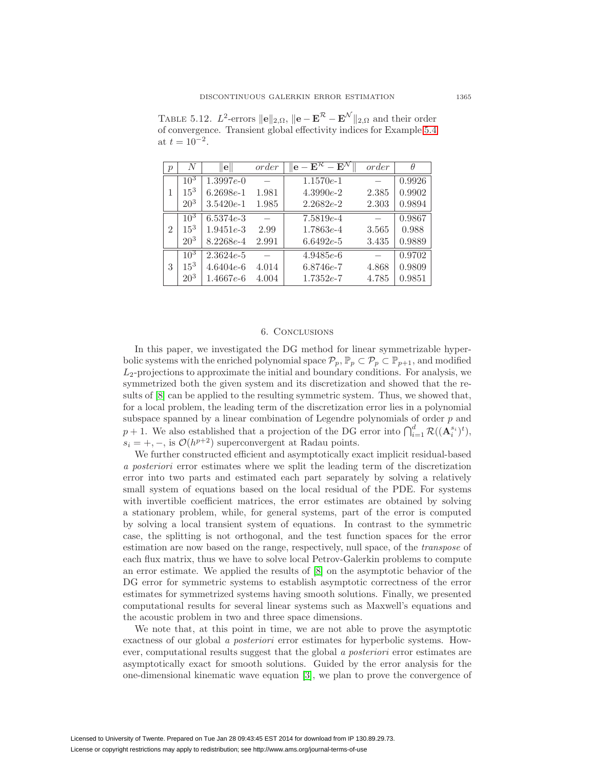| $\mathcal{p}$ | N               | e             | order | $\mathbf{E}^{\mathcal{R}}-\mathbf{E}^{\mathcal{N}}$<br>$\mathbf{e}$ . | order | θ      |
|---------------|-----------------|---------------|-------|-----------------------------------------------------------------------|-------|--------|
|               | $10^{3}$        | $1.3997e-0$   |       | $1.1570e-1$                                                           |       | 0.9926 |
|               | $15^3$          | $6.2698e-1$   | 1.981 | $4.3990e-2$                                                           | 2.385 | 0.9902 |
|               | $20^{3}$        | $3.5420e-1$   | 1.985 | $2.2682e-2$                                                           | 2.303 | 0.9894 |
|               | $10^{3}$        | $6.5374e-3$   |       | $7.5819e-4$                                                           |       | 0.9867 |
| 2             | $15^3$          | $1.9451e-3$   | 2.99  | $1.7863e-4$                                                           | 3.565 | 0.988  |
|               | $20^{3}$        | $8.2268e - 4$ | 2.991 | $6.6492e-5$                                                           | 3.435 | 0.9889 |
|               | $10^{3}$        | $2.3624e-5$   |       | $4.9485e-6$                                                           |       | 0.9702 |
| 3             | $15^3$          | $4.6404e-6$   | 4.014 | $6.8746e-7$                                                           | 4.868 | 0.9809 |
|               | 20 <sup>3</sup> | $1.4667e-6$   | 4.004 | $1.7352e-7$                                                           | 4.785 | 0.9851 |

<span id="page-30-1"></span>TABLE 5.12.  $L^2$ -errors  $\|\mathbf{e}\|_{2,\Omega}$ ,  $\|\mathbf{e}-\mathbf{E}^{\mathcal{R}}-\mathbf{E}^{\mathcal{N}}\|_{2,\Omega}$  and their order of convergence. Transient global effectivity indices for Example [5.4](#page-27-2) at  $t = 10^{-2}$ .

# 6. Conclusions

<span id="page-30-0"></span>In this paper, we investigated the DG method for linear symmetrizable hyperbolic systems with the enriched polynomial space  $\mathcal{P}_p$ ,  $\mathbb{P}_p \subset \mathcal{P}_p \subset \mathbb{P}_{p+1}$ , and modified  $L_2$ -projections to approximate the initial and boundary conditions. For analysis, we symmetrized both the given system and its discretization and showed that the results of [\[8\]](#page-31-14) can be applied to the resulting symmetric system. Thus, we showed that, for a local problem, the leading term of the discretization error lies in a polynomial subspace spanned by a linear combination of Legendre polynomials of order  $p$  and  $p + 1$ . We also established that a projection of the DG error into  $\bigcap_{i=1}^d \mathcal{R}((\mathbf{A}_i^{s_i})^t),$  $s_i = +, -,$  is  $\mathcal{O}(h^{p+2})$  superconvergent at Radau points.

We further constructed efficient and asymptotically exact implicit residual-based a posteriori error estimates where we split the leading term of the discretization error into two parts and estimated each part separately by solving a relatively small system of equations based on the local residual of the PDE. For systems with invertible coefficient matrices, the error estimates are obtained by solving a stationary problem, while, for general systems, part of the error is computed by solving a local transient system of equations. In contrast to the symmetric case, the splitting is not orthogonal, and the test function spaces for the error estimation are now based on the range, respectively, null space, of the transpose of each flux matrix, thus we have to solve local Petrov-Galerkin problems to compute an error estimate. We applied the results of [\[8\]](#page-31-14) on the asymptotic behavior of the DG error for symmetric systems to establish asymptotic correctness of the error estimates for symmetrized systems having smooth solutions. Finally, we presented computational results for several linear systems such as Maxwell's equations and the acoustic problem in two and three space dimensions.

We note that, at this point in time, we are not able to prove the asymptotic exactness of our global a posteriori error estimates for hyperbolic systems. However, computational results suggest that the global a posteriori error estimates are asymptotically exact for smooth solutions. Guided by the error analysis for the one-dimensional kinematic wave equation [\[3\]](#page-31-13), we plan to prove the convergence of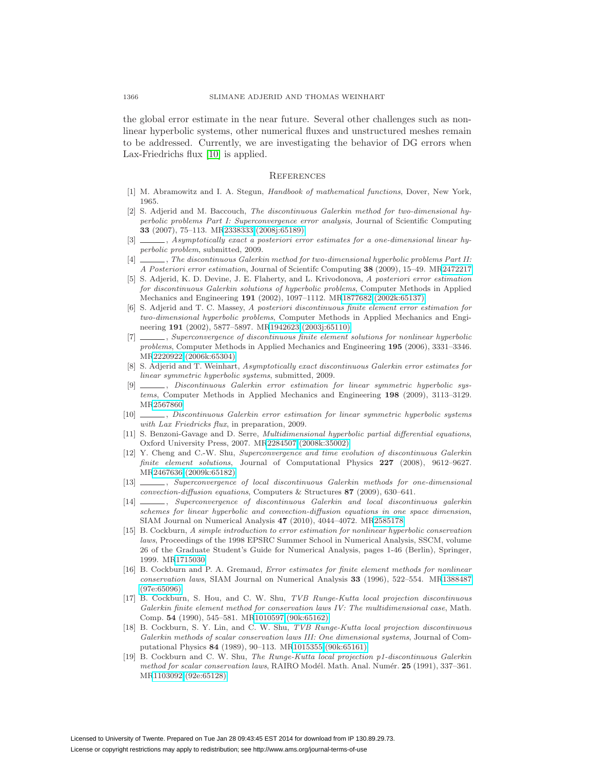the global error estimate in the near future. Several other challenges such as nonlinear hyperbolic systems, other numerical fluxes and unstructured meshes remain to be addressed. Currently, we are investigating the behavior of DG errors when Lax-Friedrichs flux [\[10\]](#page-31-18) is applied.

### **REFERENCES**

- <span id="page-31-17"></span><span id="page-31-8"></span>[1] M. Abramowitz and I. A. Stegun, Handbook of mathematical functions, Dover, New York, 1965.
- [2] S. Adjerid and M. Baccouch, The discontinuous Galerkin method for two-dimensional hyperbolic problems Part I: Superconvergence error analysis, Journal of Scientific Computing **33** (2007), 75–113. M[R2338333 \(2008j:65189\)](http://www.ams.org/mathscinet-getitem?mr=2338333)
- <span id="page-31-13"></span>[3]  $\_\_\_\_\$ , Asymptotically exact a posteriori error estimates for a one-dimensional linear hyperbolic problem, submitted, 2009.
- <span id="page-31-9"></span>[4] , The discontinuous Galerkin method for two-dimensional hyperbolic problems Part II: A Posteriori error estimation, Journal of Scientifc Computing **38** (2009), 15–49. M[R2472217](http://www.ams.org/mathscinet-getitem?mr=2472217)
- <span id="page-31-5"></span>[5] S. Adjerid, K. D. Devine, J. E. Flaherty, and L. Krivodonova, A posteriori error estimation for discontinuous Galerkin solutions of hyperbolic problems, Computer Methods in Applied Mechanics and Engineering **191** (2002), 1097–1112. M[R1877682 \(2002k:65137\)](http://www.ams.org/mathscinet-getitem?mr=1877682)
- <span id="page-31-6"></span>[6] S. Adjerid and T. C. Massey, A posteriori discontinuous finite element error estimation for two-dimensional hyperbolic problems, Computer Methods in Applied Mechanics and Engineering **191** (2002), 5877–5897. M[R1942623 \(2003j:65110\)](http://www.ams.org/mathscinet-getitem?mr=1942623)
- <span id="page-31-7"></span>[7] , Superconvergence of discontinuous finite element solutions for nonlinear hyperbolic problems, Computer Methods in Applied Mechanics and Engineering **195** (2006), 3331–3346. M[R2220922 \(2006k:65304\)](http://www.ams.org/mathscinet-getitem?mr=2220922)
- <span id="page-31-14"></span>[8] S. Adjerid and T. Weinhart, Asymptotically exact discontinuous Galerkin error estimates for linear symmetric hyperbolic systems, submitted, 2009.
- <span id="page-31-15"></span>[9] , Discontinuous Galerkin error estimation for linear symmetric hyperbolic systems, Computer Methods in Applied Mechanics and Engineering **198** (2009), 3113–3129. M[R2567860](http://www.ams.org/mathscinet-getitem?mr=2567860)
- <span id="page-31-18"></span>[10] , Discontinuous Galerkin error estimation for linear symmetric hyperbolic systems with Lax Friedricks flux, in preparation, 2009.
- <span id="page-31-16"></span>[11] S. Benzoni-Gavage and D. Serre, *Multidimensional hyperbolic partial differential equations*, Oxford University Press, 2007. M[R2284507 \(2008k:35002\)](http://www.ams.org/mathscinet-getitem?mr=2284507)
- <span id="page-31-10"></span>[12] Y. Cheng and C.-W. Shu, Superconvergence and time evolution of discontinuous Galerkin finite element solutions, Journal of Computational Physics **227** (2008), 9612–9627. M[R2467636 \(2009k:65182\)](http://www.ams.org/mathscinet-getitem?mr=2467636)
- <span id="page-31-11"></span>[13]  $\_\_\_\_\_\$  Superconvergence of local discontinuous Galerkin methods for one-dimensional convection-diffusion equations, Computers & Structures **87** (2009), 630–641.
- <span id="page-31-12"></span>[14] , Superconvergence of discontinuous Galerkin and local discontinuous galerkin schemes for linear hyperbolic and convection-diffusion equations in one space dimension, SIAM Journal on Numerical Analysis **47** (2010), 4044–4072. M[R2585178](http://www.ams.org/mathscinet-getitem?mr=2585178)
- <span id="page-31-3"></span>[15] B. Cockburn, A simple introduction to error estimation for nonlinear hyperbolic conservation laws, Proceedings of the 1998 EPSRC Summer School in Numerical Analysis, SSCM, volume 26 of the Graduate Student's Guide for Numerical Analysis, pages 1-46 (Berlin), Springer, 1999. M[R1715030](http://www.ams.org/mathscinet-getitem?mr=1715030)
- <span id="page-31-4"></span>[16] B. Cockburn and P. A. Gremaud, Error estimates for finite element methods for nonlinear conservation laws, SIAM Journal on Numerical Analysis **33** (1996), 522–554. M[R1388487](http://www.ams.org/mathscinet-getitem?mr=1388487) [\(97e:65096\)](http://www.ams.org/mathscinet-getitem?mr=1388487)
- <span id="page-31-0"></span>[17] B. Cockburn, S. Hou, and C. W. Shu, TVB Runge-Kutta local projection discontinuous Galerkin finite element method for conservation laws IV: The multidimensional case, Math. Comp. **54** (1990), 545–581. M[R1010597 \(90k:65162\)](http://www.ams.org/mathscinet-getitem?mr=1010597)
- <span id="page-31-1"></span>[18] B. Cockburn, S. Y. Lin, and C. W. Shu, TVB Runge-Kutta local projection discontinuous Galerkin methods of scalar conservation laws III: One dimensional systems, Journal of Computational Physics **84** (1989), 90–113. M[R1015355 \(90k:65161\)](http://www.ams.org/mathscinet-getitem?mr=1015355)
- <span id="page-31-2"></span>[19] B. Cockburn and C. W. Shu, The Runge-Kutta local projection p1-discontinuous Galerkin method for scalar conservation laws, RAIRO Modél. Math. Anal. Numér. 25 (1991), 337-361. M[R1103092 \(92e:65128\)](http://www.ams.org/mathscinet-getitem?mr=1103092)